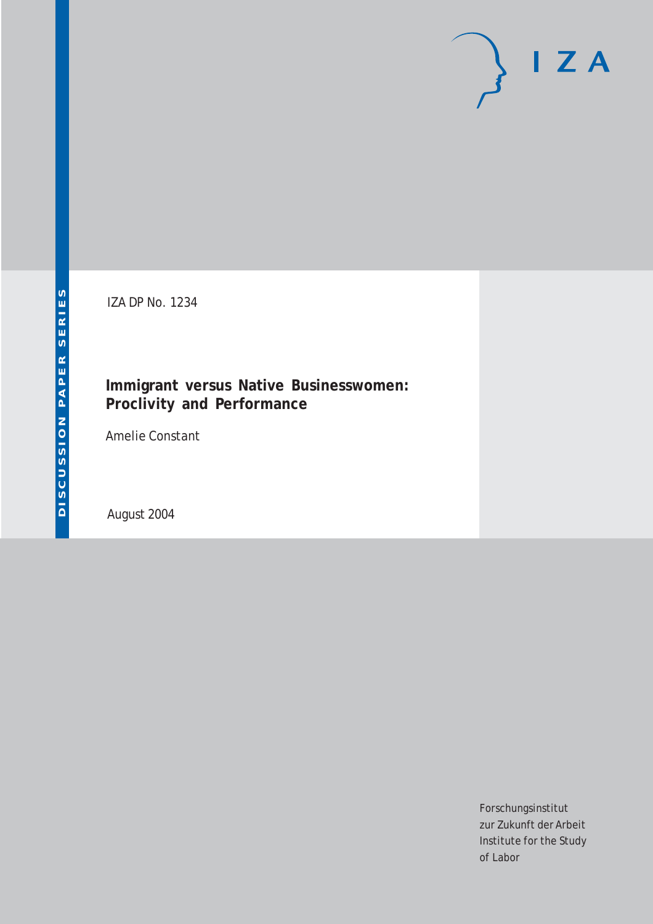# $I Z A$

IZA DP No. 1234

### **Immigrant versus Native Businesswomen: Proclivity and Performance**

Amelie Constant

August 2004

Forschungsinstitut zur Zukunft der Arbeit Institute for the Study of Labor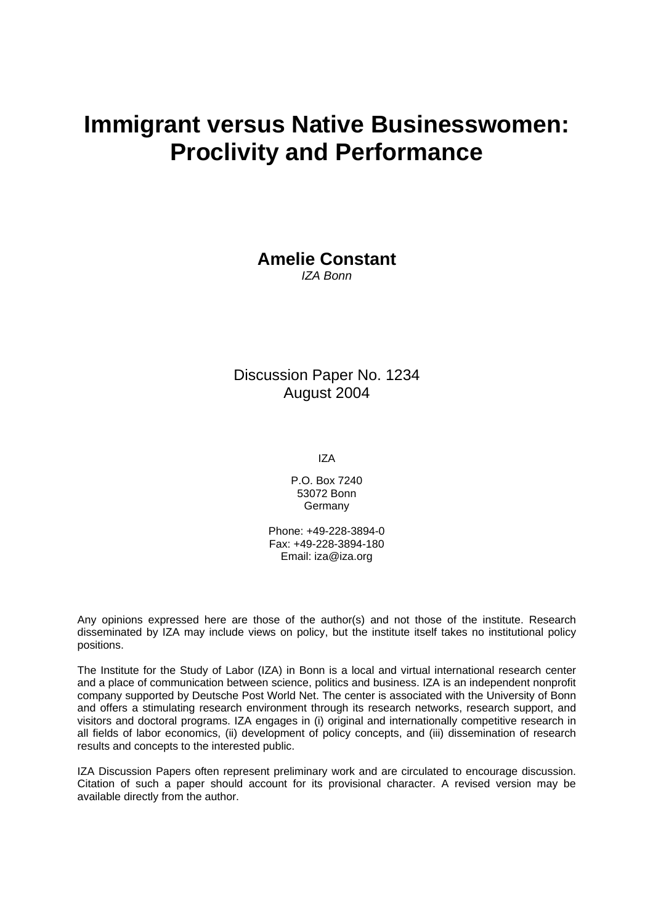## **Immigrant versus Native Businesswomen: Proclivity and Performance**

**Amelie Constant**  *IZA Bonn* 

Discussion Paper No. 1234 August 2004

IZA

P.O. Box 7240 53072 Bonn **Germany** 

Phone: +49-228-3894-0 Fax: +49-228-3894-180 Email: [iza@iza.org](mailto:iza@iza.org)

Any opinions expressed here are those of the author(s) and not those of the institute. Research disseminated by IZA may include views on policy, but the institute itself takes no institutional policy positions.

The Institute for the Study of Labor (IZA) in Bonn is a local and virtual international research center and a place of communication between science, politics and business. IZA is an independent nonprofit company supported by Deutsche Post World Net. The center is associated with the University of Bonn and offers a stimulating research environment through its research networks, research support, and visitors and doctoral programs. IZA engages in (i) original and internationally competitive research in all fields of labor economics, (ii) development of policy concepts, and (iii) dissemination of research results and concepts to the interested public.

IZA Discussion Papers often represent preliminary work and are circulated to encourage discussion. Citation of such a paper should account for its provisional character. A revised version may be available directly from the author.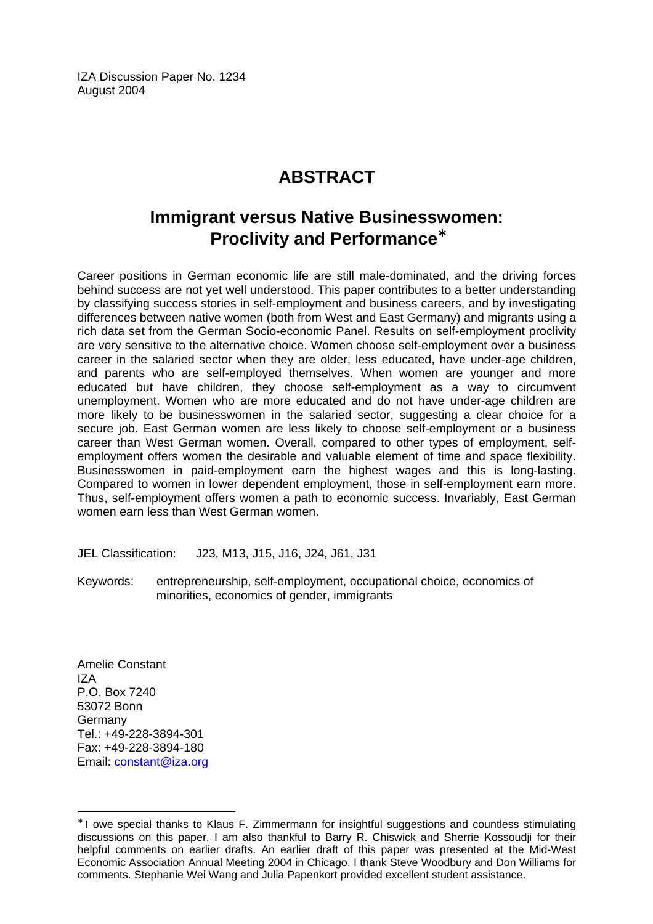IZA Discussion Paper No. 1234 August 2004

## **ABSTRACT**

## **Immigrant versus Native Businesswomen: Proclivity and Performance**[∗](#page-2-0)

Career positions in German economic life are still male-dominated, and the driving forces behind success are not yet well understood. This paper contributes to a better understanding by classifying success stories in self-employment and business careers, and by investigating differences between native women (both from West and East Germany) and migrants using a rich data set from the German Socio-economic Panel. Results on self-employment proclivity are very sensitive to the alternative choice. Women choose self-employment over a business career in the salaried sector when they are older, less educated, have under-age children, and parents who are self-employed themselves. When women are younger and more educated but have children, they choose self-employment as a way to circumvent unemployment. Women who are more educated and do not have under-age children are more likely to be businesswomen in the salaried sector, suggesting a clear choice for a secure job. East German women are less likely to choose self-employment or a business career than West German women. Overall, compared to other types of employment, selfemployment offers women the desirable and valuable element of time and space flexibility. Businesswomen in paid-employment earn the highest wages and this is long-lasting. Compared to women in lower dependent employment, those in self-employment earn more. Thus, self-employment offers women a path to economic success. Invariably, East German women earn less than West German women.

JEL Classification: J23, M13, J15, J16, J24, J61, J31

Keywords: entrepreneurship, self-employment, occupational choice, economics of minorities, economics of gender, immigrants

Amelie Constant IZA P.O. Box 7240 53072 Bonn Germany Tel.: +49-228-3894-301 Fax: +49-228-3894-180 Email: [constant@iza.org](mailto:constant@iza.org)

 $\overline{a}$ 

<span id="page-2-0"></span><sup>∗</sup> I owe special thanks to Klaus F. Zimmermann for insightful suggestions and countless stimulating discussions on this paper. I am also thankful to Barry R. Chiswick and Sherrie Kossoudji for their helpful comments on earlier drafts. An earlier draft of this paper was presented at the Mid-West Economic Association Annual Meeting 2004 in Chicago. I thank Steve Woodbury and Don Williams for comments. Stephanie Wei Wang and Julia Papenkort provided excellent student assistance.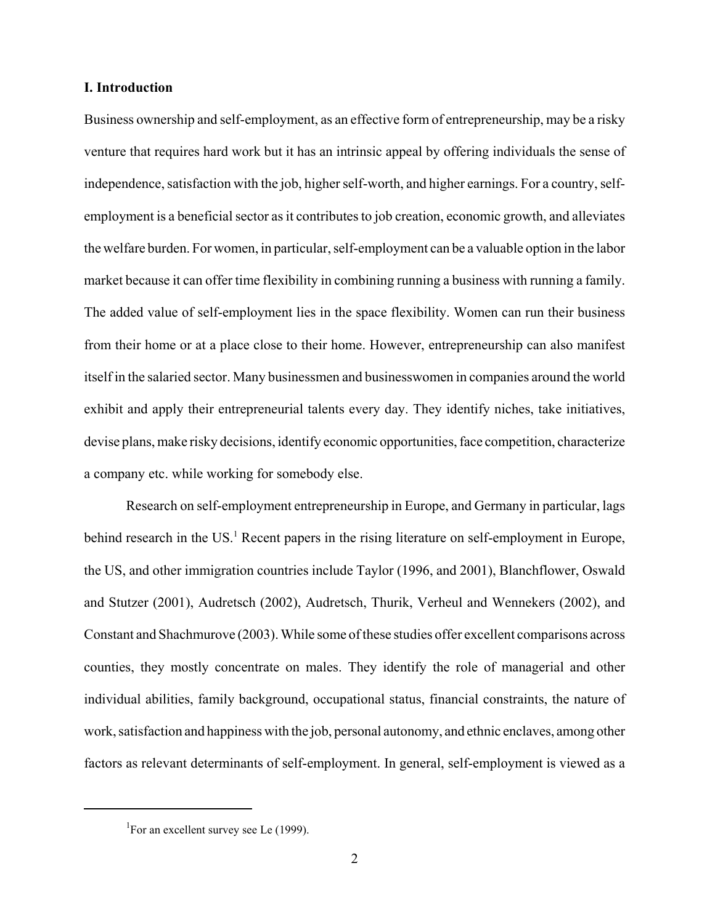#### **I. Introduction**

Business ownership and self-employment, as an effective form of entrepreneurship, may be a risky venture that requires hard work but it has an intrinsic appeal by offering individuals the sense of independence, satisfaction with the job, higher self-worth, and higher earnings. For a country, selfemployment is a beneficial sector as it contributes to job creation, economic growth, and alleviates the welfare burden. For women, in particular, self-employment can be a valuable option in the labor market because it can offer time flexibility in combining running a business with running a family. The added value of self-employment lies in the space flexibility. Women can run their business from their home or at a place close to their home. However, entrepreneurship can also manifest itself in the salaried sector. Many businessmen and businesswomen in companies around the world exhibit and apply their entrepreneurial talents every day. They identify niches, take initiatives, devise plans, make risky decisions, identify economic opportunities, face competition, characterize a company etc. while working for somebody else.

Research on self-employment entrepreneurship in Europe, and Germany in particular, lags behind research in the US.<sup>1</sup> Recent papers in the rising literature on self-employment in Europe, the US, and other immigration countries include Taylor (1996, and 2001), Blanchflower, Oswald and Stutzer (2001), Audretsch (2002), Audretsch, Thurik, Verheul and Wennekers (2002), and Constant and Shachmurove (2003). While some of these studies offer excellent comparisons across counties, they mostly concentrate on males. They identify the role of managerial and other individual abilities, family background, occupational status, financial constraints, the nature of work, satisfaction and happiness with the job, personal autonomy, and ethnic enclaves, among other factors as relevant determinants of self-employment. In general, self-employment is viewed as a

<sup>&</sup>lt;sup>1</sup>For an excellent survey see Le (1999).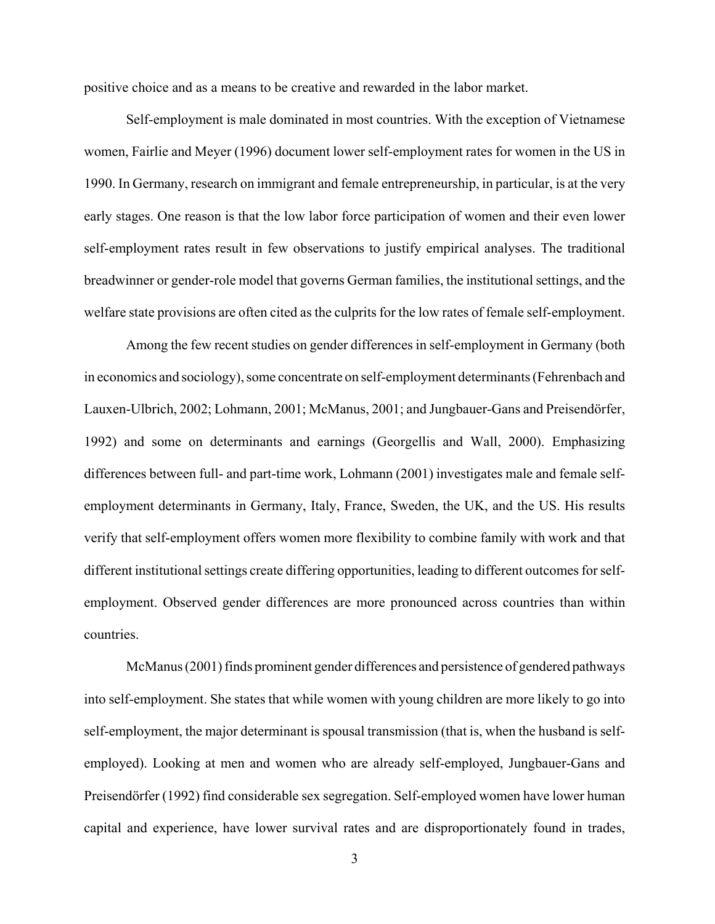positive choice and as a means to be creative and rewarded in the labor market.

Self-employment is male dominated in most countries. With the exception of Vietnamese women, Fairlie and Meyer (1996) document lower self-employment rates for women in the US in 1990. In Germany, research on immigrant and female entrepreneurship, in particular, is at the very early stages. One reason is that the low labor force participation of women and their even lower self-employment rates result in few observations to justify empirical analyses. The traditional breadwinner or gender-role model that governs German families, the institutional settings, and the welfare state provisions are often cited as the culprits for the low rates of female self-employment.

Among the few recent studies on gender differences in self-employment in Germany (both in economics and sociology), some concentrate on self-employment determinants (Fehrenbach and Lauxen-Ulbrich, 2002; Lohmann, 2001; McManus, 2001; and Jungbauer-Gans and Preisendörfer, 1992) and some on determinants and earnings (Georgellis and Wall, 2000). Emphasizing differences between full- and part-time work, Lohmann (2001) investigates male and female selfemployment determinants in Germany, Italy, France, Sweden, the UK, and the US. His results verify that self-employment offers women more flexibility to combine family with work and that different institutional settings create differing opportunities, leading to different outcomes for selfemployment. Observed gender differences are more pronounced across countries than within countries.

McManus (2001) finds prominent gender differences and persistence of gendered pathways into self-employment. She states that while women with young children are more likely to go into self-employment, the major determinant is spousal transmission (that is, when the husband is selfemployed). Looking at men and women who are already self-employed, Jungbauer-Gans and Preisendörfer (1992) find considerable sex segregation. Self-employed women have lower human capital and experience, have lower survival rates and are disproportionately found in trades,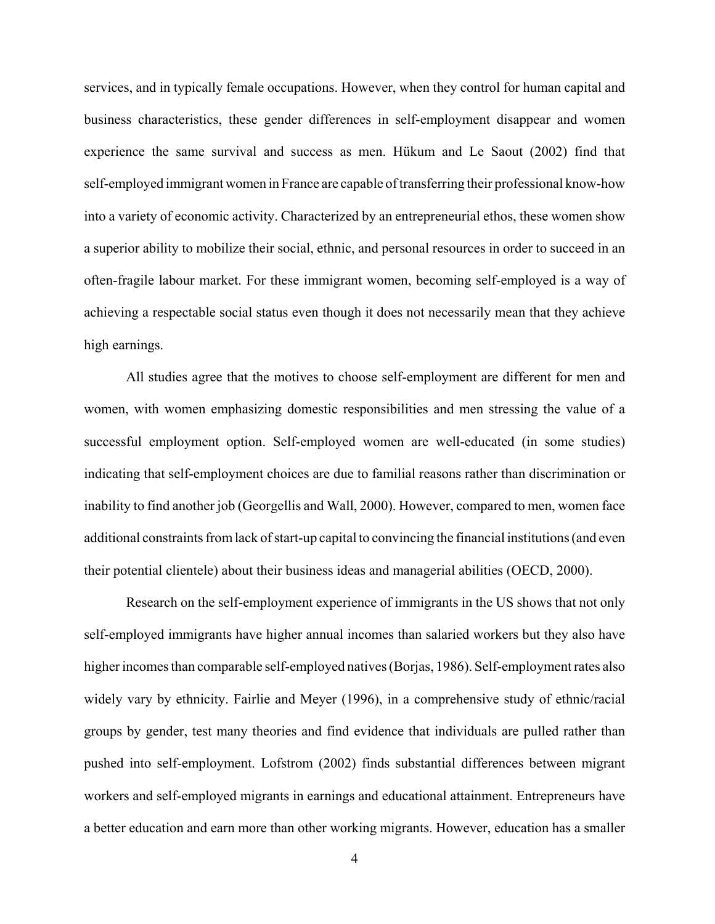services, and in typically female occupations. However, when they control for human capital and business characteristics, these gender differences in self-employment disappear and women experience the same survival and success as men. Hükum and Le Saout (2002) find that self-employed immigrant women in France are capable of transferring their professional know-how into a variety of economic activity. Characterized by an entrepreneurial ethos, these women show a superior ability to mobilize their social, ethnic, and personal resources in order to succeed in an often-fragile labour market. For these immigrant women, becoming self-employed is a way of achieving a respectable social status even though it does not necessarily mean that they achieve high earnings.

All studies agree that the motives to choose self-employment are different for men and women, with women emphasizing domestic responsibilities and men stressing the value of a successful employment option. Self-employed women are well-educated (in some studies) indicating that self-employment choices are due to familial reasons rather than discrimination or inability to find another job (Georgellis and Wall, 2000). However, compared to men, women face additional constraints from lack of start-up capital to convincing the financial institutions (and even their potential clientele) about their business ideas and managerial abilities (OECD, 2000).

Research on the self-employment experience of immigrants in the US shows that not only self-employed immigrants have higher annual incomes than salaried workers but they also have higher incomes than comparable self-employed natives (Borjas, 1986). Self-employment rates also widely vary by ethnicity. Fairlie and Meyer (1996), in a comprehensive study of ethnic/racial groups by gender, test many theories and find evidence that individuals are pulled rather than pushed into self-employment. Lofstrom (2002) finds substantial differences between migrant workers and self-employed migrants in earnings and educational attainment. Entrepreneurs have a better education and earn more than other working migrants. However, education has a smaller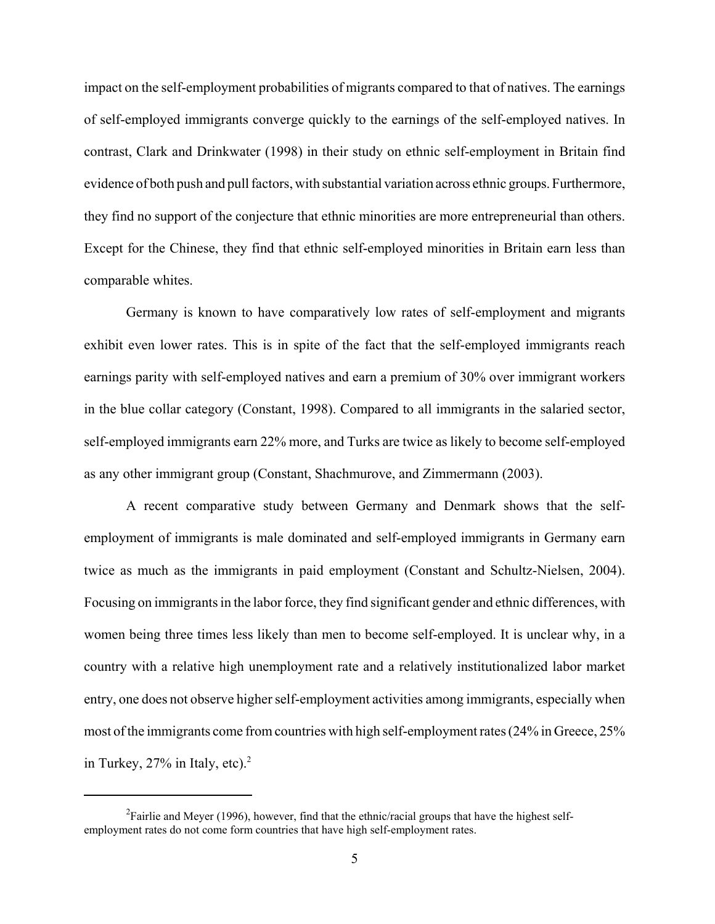impact on the self-employment probabilities of migrants compared to that of natives. The earnings of self-employed immigrants converge quickly to the earnings of the self-employed natives. In contrast, Clark and Drinkwater (1998) in their study on ethnic self-employment in Britain find evidence of both push and pull factors, with substantial variation across ethnic groups. Furthermore, they find no support of the conjecture that ethnic minorities are more entrepreneurial than others. Except for the Chinese, they find that ethnic self-employed minorities in Britain earn less than comparable whites.

Germany is known to have comparatively low rates of self-employment and migrants exhibit even lower rates. This is in spite of the fact that the self-employed immigrants reach earnings parity with self-employed natives and earn a premium of 30% over immigrant workers in the blue collar category (Constant, 1998). Compared to all immigrants in the salaried sector, self-employed immigrants earn 22% more, and Turks are twice as likely to become self-employed as any other immigrant group (Constant, Shachmurove, and Zimmermann (2003).

A recent comparative study between Germany and Denmark shows that the selfemployment of immigrants is male dominated and self-employed immigrants in Germany earn twice as much as the immigrants in paid employment (Constant and Schultz-Nielsen, 2004). Focusing on immigrants in the labor force, they find significant gender and ethnic differences, with women being three times less likely than men to become self-employed. It is unclear why, in a country with a relative high unemployment rate and a relatively institutionalized labor market entry, one does not observe higher self-employment activities among immigrants, especially when most of the immigrants come from countries with high self-employment rates (24% in Greece, 25% in Turkey,  $27\%$  in Italy, etc).<sup>2</sup>

<sup>&</sup>lt;sup>2</sup> Fairlie and Meyer (1996), however, find that the ethnic/racial groups that have the highest selfemployment rates do not come form countries that have high self-employment rates.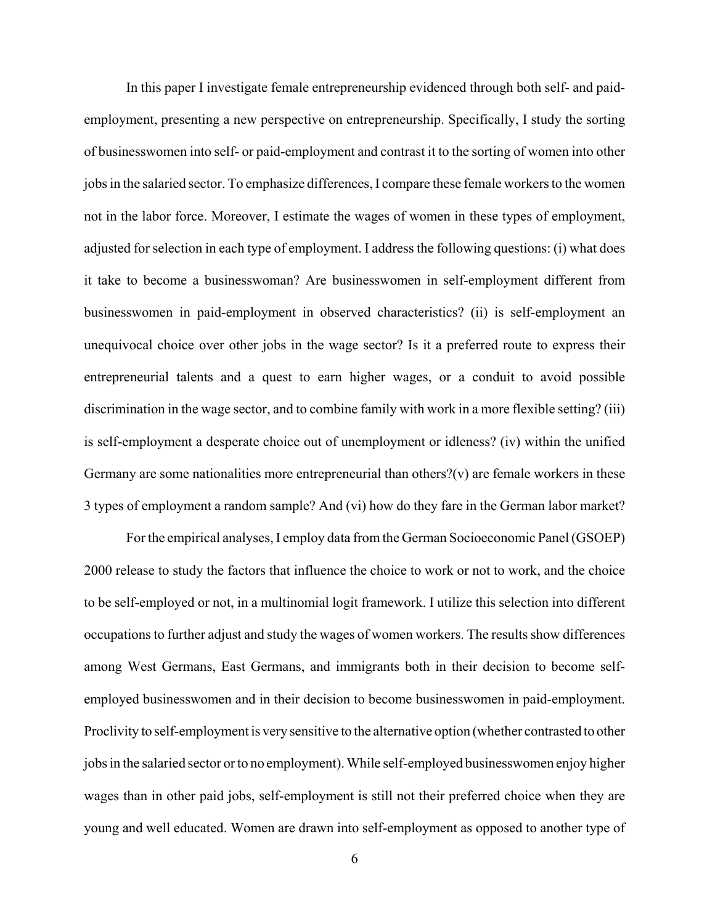In this paper I investigate female entrepreneurship evidenced through both self- and paidemployment, presenting a new perspective on entrepreneurship. Specifically, I study the sorting of businesswomen into self- or paid-employment and contrast it to the sorting of women into other jobs in the salaried sector. To emphasize differences, I compare these female workers to the women not in the labor force. Moreover, I estimate the wages of women in these types of employment, adjusted for selection in each type of employment. I address the following questions: (i) what does it take to become a businesswoman? Are businesswomen in self-employment different from businesswomen in paid-employment in observed characteristics? (ii) is self-employment an unequivocal choice over other jobs in the wage sector? Is it a preferred route to express their entrepreneurial talents and a quest to earn higher wages, or a conduit to avoid possible discrimination in the wage sector, and to combine family with work in a more flexible setting? (iii) is self-employment a desperate choice out of unemployment or idleness? (iv) within the unified Germany are some nationalities more entrepreneurial than others? $(v)$  are female workers in these 3 types of employment a random sample? And (vi) how do they fare in the German labor market?

For the empirical analyses, I employ data from the German Socioeconomic Panel (GSOEP) 2000 release to study the factors that influence the choice to work or not to work, and the choice to be self-employed or not, in a multinomial logit framework. I utilize this selection into different occupations to further adjust and study the wages of women workers. The results show differences among West Germans, East Germans, and immigrants both in their decision to become selfemployed businesswomen and in their decision to become businesswomen in paid-employment. Proclivity to self-employment is very sensitive to the alternative option (whether contrasted to other jobs in the salaried sector or to no employment). While self-employed businesswomen enjoy higher wages than in other paid jobs, self-employment is still not their preferred choice when they are young and well educated. Women are drawn into self-employment as opposed to another type of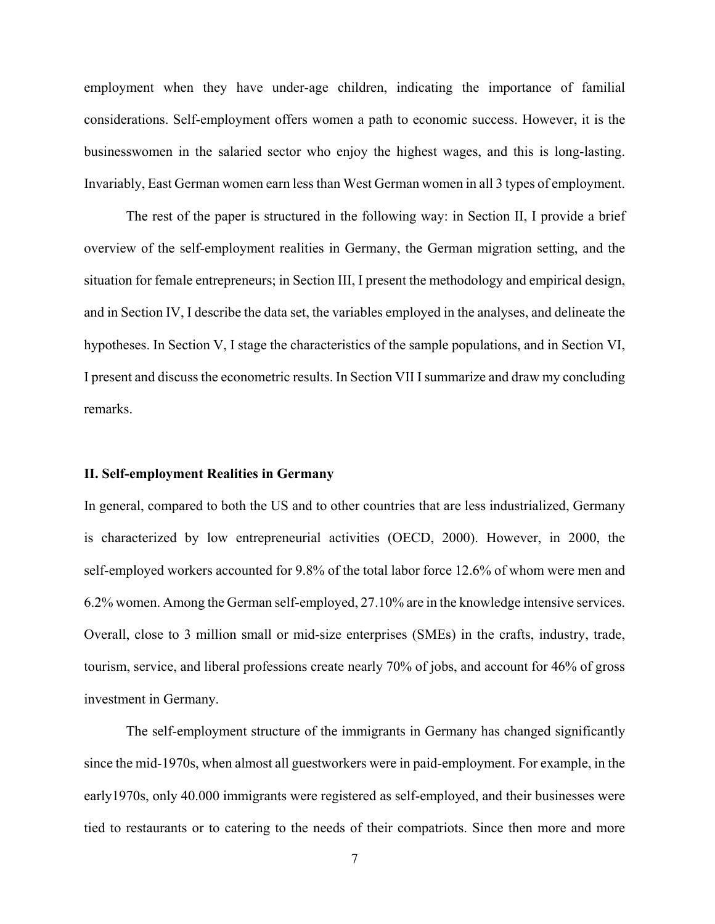employment when they have under-age children, indicating the importance of familial considerations. Self-employment offers women a path to economic success. However, it is the businesswomen in the salaried sector who enjoy the highest wages, and this is long-lasting. Invariably, East German women earn less than West German women in all 3 types of employment.

The rest of the paper is structured in the following way: in Section II, I provide a brief overview of the self-employment realities in Germany, the German migration setting, and the situation for female entrepreneurs; in Section III, I present the methodology and empirical design, and in Section IV, I describe the data set, the variables employed in the analyses, and delineate the hypotheses. In Section V, I stage the characteristics of the sample populations, and in Section VI, I present and discuss the econometric results. In Section VII I summarize and draw my concluding remarks.

#### **II. Self-employment Realities in Germany**

In general, compared to both the US and to other countries that are less industrialized, Germany is characterized by low entrepreneurial activities (OECD, 2000). However, in 2000, the self-employed workers accounted for 9.8% of the total labor force 12.6% of whom were men and 6.2% women. Among the German self-employed, 27.10% are in the knowledge intensive services. Overall, close to 3 million small or mid-size enterprises (SMEs) in the crafts, industry, trade, tourism, service, and liberal professions create nearly 70% of jobs, and account for 46% of gross investment in Germany.

The self-employment structure of the immigrants in Germany has changed significantly since the mid-1970s, when almost all guestworkers were in paid-employment. For example, in the early1970s, only 40.000 immigrants were registered as self-employed, and their businesses were tied to restaurants or to catering to the needs of their compatriots. Since then more and more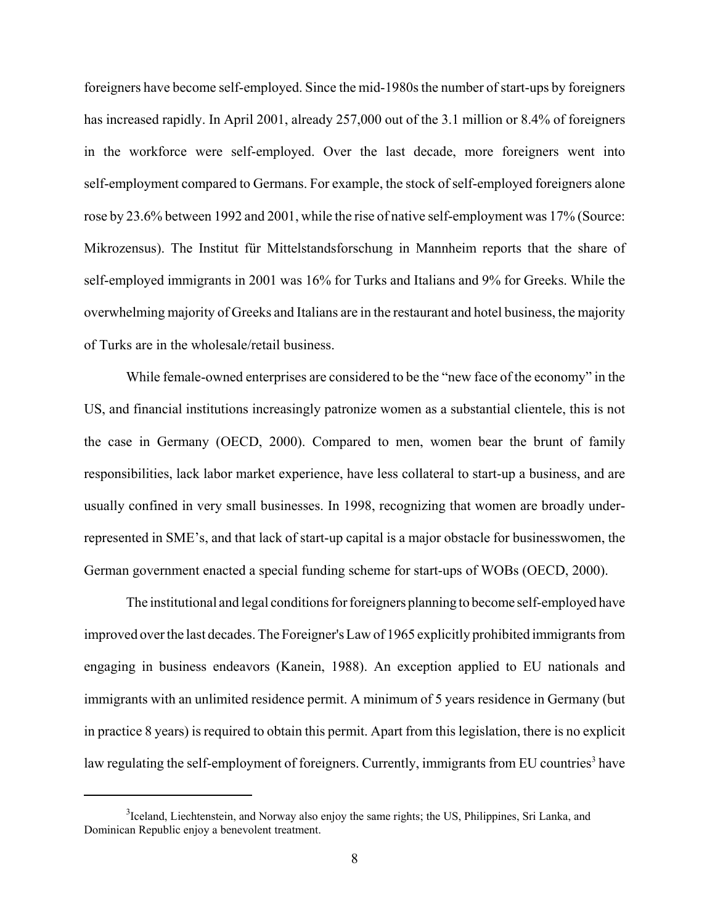foreigners have become self-employed. Since the mid-1980s the number of start-ups by foreigners has increased rapidly. In April 2001, already 257,000 out of the 3.1 million or 8.4% of foreigners in the workforce were self-employed. Over the last decade, more foreigners went into self-employment compared to Germans. For example, the stock of self-employed foreigners alone rose by 23.6% between 1992 and 2001, while the rise of native self-employment was 17% (Source: Mikrozensus). The Institut für Mittelstandsforschung in Mannheim reports that the share of self-employed immigrants in 2001 was 16% for Turks and Italians and 9% for Greeks. While the overwhelming majority of Greeks and Italians are in the restaurant and hotel business, the majority of Turks are in the wholesale/retail business.

While female-owned enterprises are considered to be the "new face of the economy" in the US, and financial institutions increasingly patronize women as a substantial clientele, this is not the case in Germany (OECD, 2000). Compared to men, women bear the brunt of family responsibilities, lack labor market experience, have less collateral to start-up a business, and are usually confined in very small businesses. In 1998, recognizing that women are broadly underrepresented in SME's, and that lack of start-up capital is a major obstacle for businesswomen, the German government enacted a special funding scheme for start-ups of WOBs (OECD, 2000).

The institutional and legal conditions for foreigners planning to become self-employed have improved over the last decades. The Foreigner's Law of 1965 explicitly prohibited immigrants from engaging in business endeavors (Kanein, 1988). An exception applied to EU nationals and immigrants with an unlimited residence permit. A minimum of 5 years residence in Germany (but in practice 8 years) is required to obtain this permit. Apart from this legislation, there is no explicit law regulating the self-employment of foreigners. Currently, immigrants from EU countries<sup>3</sup> have

<sup>&</sup>lt;sup>3</sup>Iceland, Liechtenstein, and Norway also enjoy the same rights; the US, Philippines, Sri Lanka, and Dominican Republic enjoy a benevolent treatment.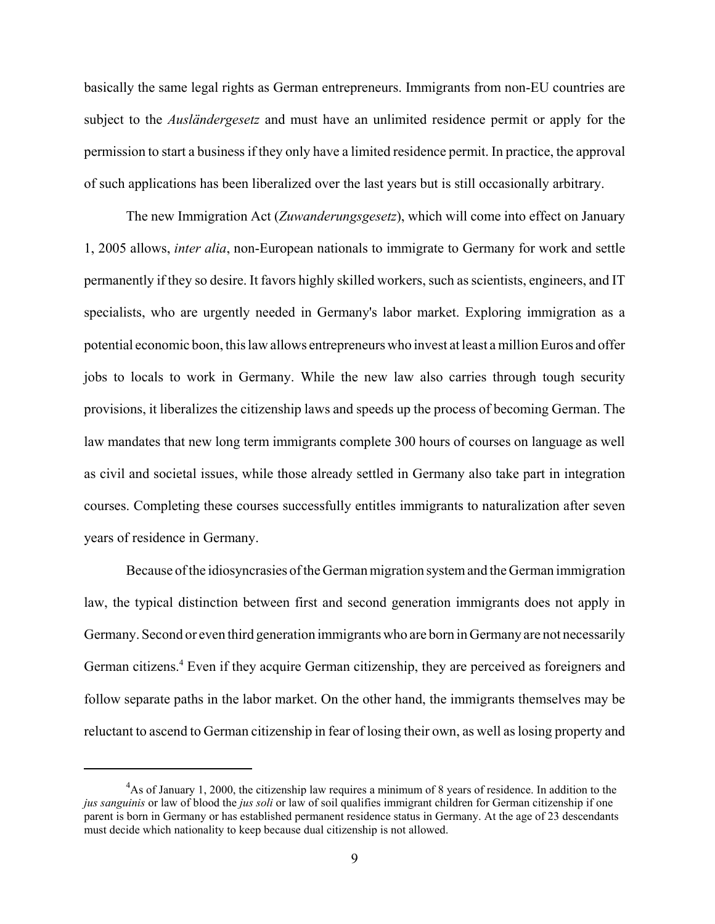basically the same legal rights as German entrepreneurs. Immigrants from non-EU countries are subject to the *Ausländergesetz* and must have an unlimited residence permit or apply for the permission to start a business if they only have a limited residence permit. In practice, the approval of such applications has been liberalized over the last years but is still occasionally arbitrary.

The new Immigration Act (*Zuwanderungsgesetz*), which will come into effect on January 1, 2005 allows, *inter alia*, non-European nationals to immigrate to Germany for work and settle permanently if they so desire. It favors highly skilled workers, such as scientists, engineers, and IT specialists, who are urgently needed in Germany's labor market. Exploring immigration as a potential economic boon, this law allows entrepreneurs who invest at least a million Euros and offer jobs to locals to work in Germany. While the new law also carries through tough security provisions, it liberalizes the citizenship laws and speeds up the process of becoming German. The law mandates that new long term immigrants complete 300 hours of courses on language as well as civil and societal issues, while those already settled in Germany also take part in integration courses. Completing these courses successfully entitles immigrants to naturalization after seven years of residence in Germany.

Because of the idiosyncrasies of the German migration system and the German immigration law, the typical distinction between first and second generation immigrants does not apply in Germany. Second or even third generation immigrants who are born in Germany are not necessarily German citizens.<sup>4</sup> Even if they acquire German citizenship, they are perceived as foreigners and follow separate paths in the labor market. On the other hand, the immigrants themselves may be reluctant to ascend to German citizenship in fear of losing their own, as well as losing property and

 $4$ As of January 1, 2000, the citizenship law requires a minimum of 8 years of residence. In addition to the *jus sanguinis* or law of blood the *jus soli* or law of soil qualifies immigrant children for German citizenship if one parent is born in Germany or has established permanent residence status in Germany. At the age of 23 descendants must decide which nationality to keep because dual citizenship is not allowed.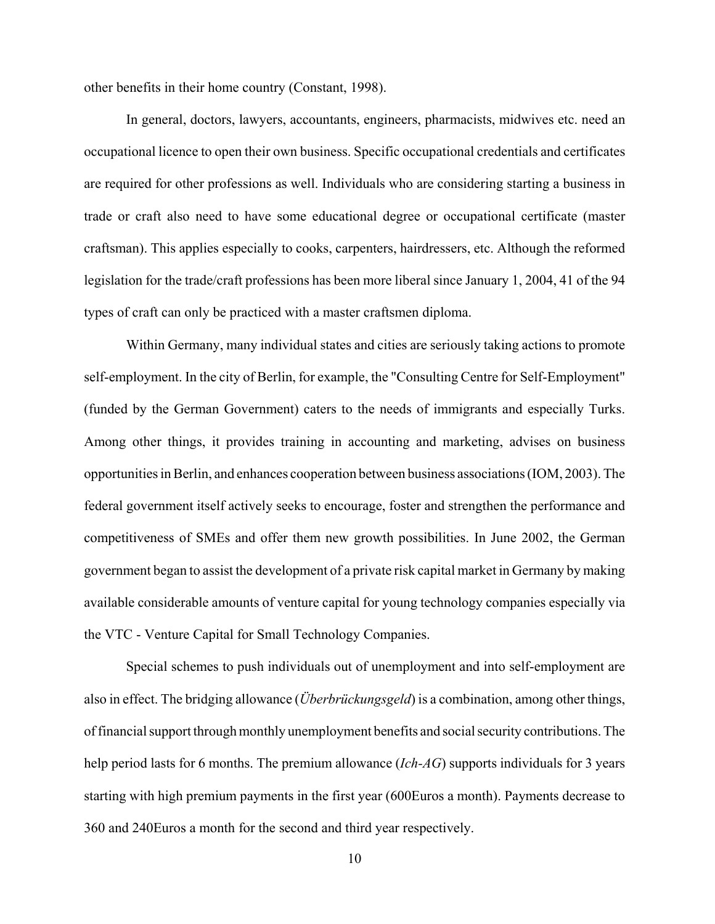other benefits in their home country (Constant, 1998).

In general, doctors, lawyers, accountants, engineers, pharmacists, midwives etc. need an occupational licence to open their own business. Specific occupational credentials and certificates are required for other professions as well. Individuals who are considering starting a business in trade or craft also need to have some educational degree or occupational certificate (master craftsman). This applies especially to cooks, carpenters, hairdressers, etc. Although the reformed legislation for the trade/craft professions has been more liberal since January 1, 2004, 41 of the 94 types of craft can only be practiced with a master craftsmen diploma.

Within Germany, many individual states and cities are seriously taking actions to promote self-employment. In the city of Berlin, for example, the "Consulting Centre for Self-Employment" (funded by the German Government) caters to the needs of immigrants and especially Turks. Among other things, it provides training in accounting and marketing, advises on business opportunities in Berlin, and enhances cooperation between business associations (IOM, 2003). The federal government itself actively seeks to encourage, foster and strengthen the performance and competitiveness of SMEs and offer them new growth possibilities. In June 2002, the German government began to assist the development of a private risk capital market in Germany by making available considerable amounts of venture capital for young technology companies especially via the VTC - Venture Capital for Small Technology Companies.

Special schemes to push individuals out of unemployment and into self-employment are also in effect. The bridging allowance (*Überbrückungsgeld*) is a combination, among other things, of financial support through monthly unemployment benefits and social security contributions. The help period lasts for 6 months. The premium allowance (*Ich-AG*) supports individuals for 3 years starting with high premium payments in the first year (600Euros a month). Payments decrease to 360 and 240Euros a month for the second and third year respectively.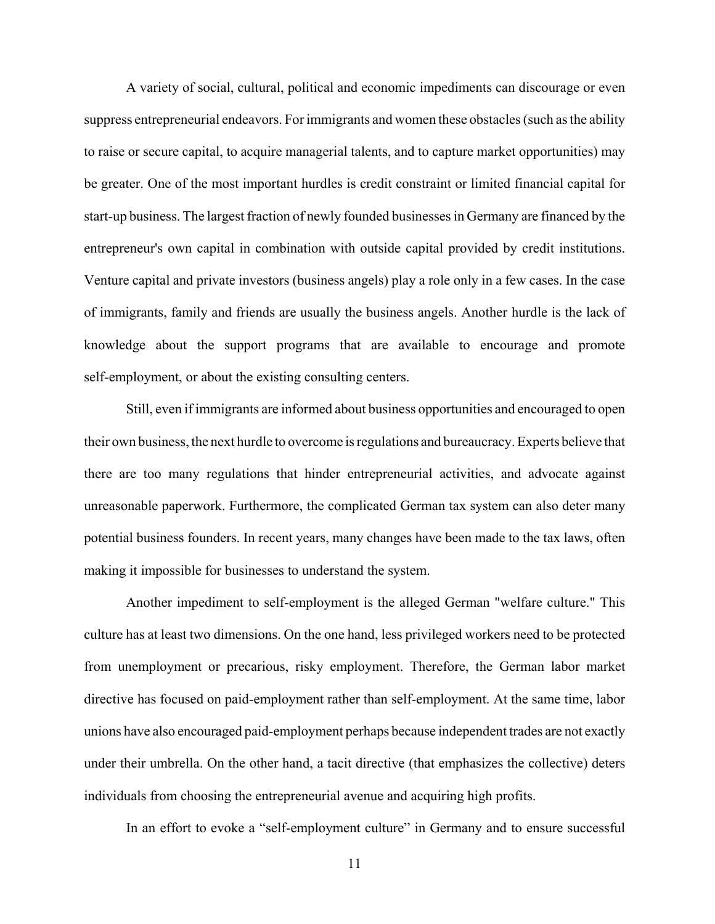A variety of social, cultural, political and economic impediments can discourage or even suppress entrepreneurial endeavors. For immigrants and women these obstacles (such as the ability to raise or secure capital, to acquire managerial talents, and to capture market opportunities) may be greater. One of the most important hurdles is credit constraint or limited financial capital for start-up business. The largest fraction of newly founded businesses in Germany are financed by the entrepreneur's own capital in combination with outside capital provided by credit institutions. Venture capital and private investors (business angels) play a role only in a few cases. In the case of immigrants, family and friends are usually the business angels. Another hurdle is the lack of knowledge about the support programs that are available to encourage and promote self-employment, or about the existing consulting centers.

Still, even if immigrants are informed about business opportunities and encouraged to open their own business, the next hurdle to overcome is regulations and bureaucracy. Experts believe that there are too many regulations that hinder entrepreneurial activities, and advocate against unreasonable paperwork. Furthermore, the complicated German tax system can also deter many potential business founders. In recent years, many changes have been made to the tax laws, often making it impossible for businesses to understand the system.

Another impediment to self-employment is the alleged German "welfare culture." This culture has at least two dimensions. On the one hand, less privileged workers need to be protected from unemployment or precarious, risky employment. Therefore, the German labor market directive has focused on paid-employment rather than self-employment. At the same time, labor unions have also encouraged paid-employment perhaps because independent trades are not exactly under their umbrella. On the other hand, a tacit directive (that emphasizes the collective) deters individuals from choosing the entrepreneurial avenue and acquiring high profits.

In an effort to evoke a "self-employment culture" in Germany and to ensure successful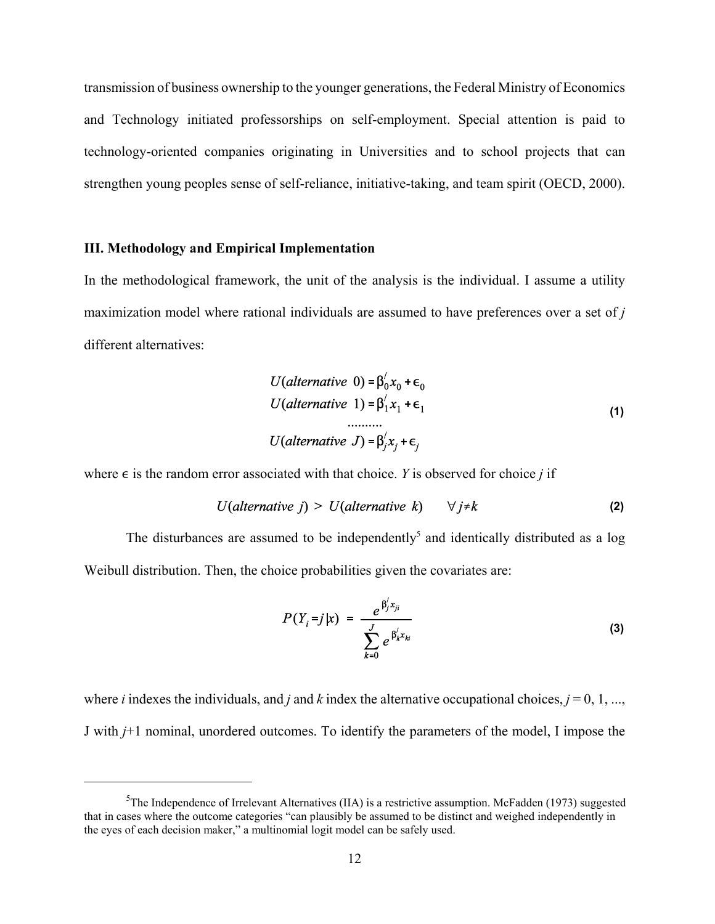transmission of business ownership to the younger generations, the Federal Ministry of Economics and Technology initiated professorships on self-employment. Special attention is paid to technology-oriented companies originating in Universities and to school projects that can strengthen young peoples sense of self-reliance, initiative-taking, and team spirit (OECD, 2000).

#### **III. Methodology and Empirical Implementation**

In the methodological framework, the unit of the analysis is the individual. I assume a utility maximization model where rational individuals are assumed to have preferences over a set of *j* different alternatives:

$$
U(alternative 0) = \beta'_0 x_0 + \epsilon_0
$$
  
\n
$$
U(alternative 1) = \beta'_1 x_1 + \epsilon_1
$$
  
\n........  
\n
$$
U(alternative J) = \beta'_j x_j + \epsilon_j
$$
 (1)

where  $\epsilon$  is the random error associated with that choice. *Y* is observed for choice *j* if

$$
U(alternative j) > U(alternative k) \qquad \forall j \neq k \tag{2}
$$

The disturbances are assumed to be independently<sup>5</sup> and identically distributed as a  $log$ Weibull distribution. Then, the choice probabilities given the covariates are:

$$
P(Y_i = j | x) = \frac{e^{\beta_j' x_{ji}}}{\sum_{k=0}^J e^{\beta_k' x_{ki}}}
$$
 (3)

where *i* indexes the individuals, and *j* and *k* index the alternative occupational choices,  $j = 0, 1, \ldots$ , J with *j*+1 nominal, unordered outcomes. To identify the parameters of the model, I impose the

<sup>&</sup>lt;sup>5</sup>The Independence of Irrelevant Alternatives (IIA) is a restrictive assumption. McFadden (1973) suggested that in cases where the outcome categories "can plausibly be assumed to be distinct and weighed independently in the eyes of each decision maker," a multinomial logit model can be safely used.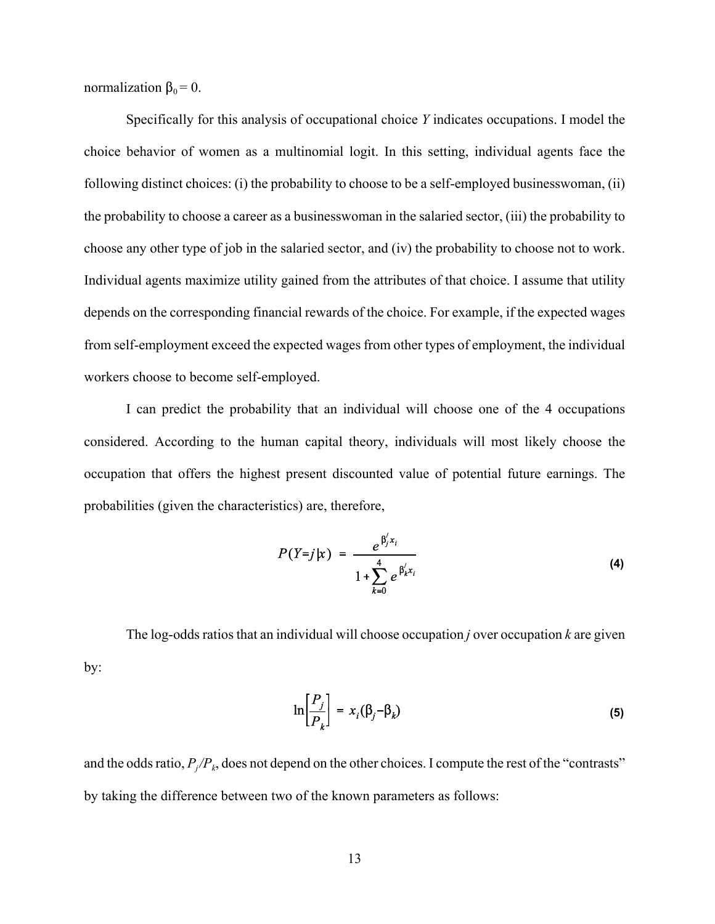normalization  $\beta_0 = 0$ .

Specifically for this analysis of occupational choice *Y* indicates occupations. I model the choice behavior of women as a multinomial logit. In this setting, individual agents face the following distinct choices: (i) the probability to choose to be a self-employed businesswoman, (ii) the probability to choose a career as a businesswoman in the salaried sector, (iii) the probability to choose any other type of job in the salaried sector, and (iv) the probability to choose not to work. Individual agents maximize utility gained from the attributes of that choice. I assume that utility depends on the corresponding financial rewards of the choice. For example, if the expected wages from self-employment exceed the expected wages from other types of employment, the individual workers choose to become self-employed.

I can predict the probability that an individual will choose one of the 4 occupations considered. According to the human capital theory, individuals will most likely choose the occupation that offers the highest present discounted value of potential future earnings. The probabilities (given the characteristics) are, therefore,

$$
P(Y=j|x) = \frac{e^{\beta'_j x_i}}{1 + \sum_{k=0}^{4} e^{\beta'_k x_i}}
$$
 (4)

The log-odds ratios that an individual will choose occupation *j* over occupation *k* are given by:

$$
\ln\left[\frac{P_j}{P_k}\right] = x_i(\beta_j - \beta_k) \tag{5}
$$

and the odds ratio,  $P_j/P_k$ , does not depend on the other choices. I compute the rest of the "contrasts" by taking the difference between two of the known parameters as follows: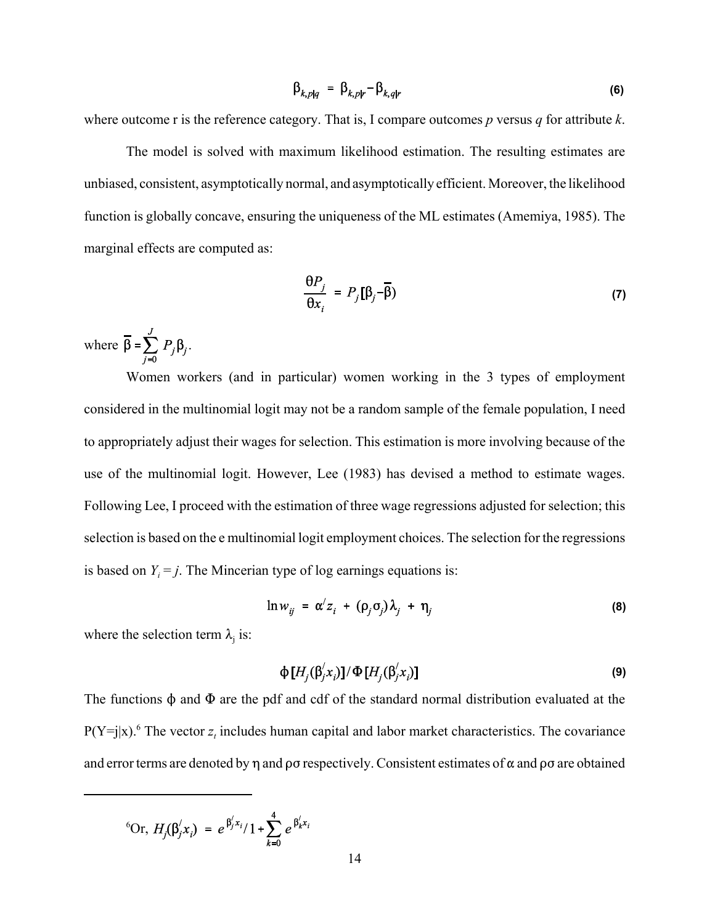$$
\beta_{k,p|q} = \beta_{k,p|r} - \beta_{k,q|r} \tag{6}
$$

where outcome r is the reference category. That is, I compare outcomes *p* versus *q* for attribute *k*.

The model is solved with maximum likelihood estimation. The resulting estimates are unbiased, consistent, asymptotically normal, and asymptotically efficient. Moreover, the likelihood function is globally concave, ensuring the uniqueness of the ML estimates (Amemiya, 1985). The marginal effects are computed as:

$$
\frac{\partial P_j}{\partial x_i} = P_j [\beta_j - \overline{\beta}) \tag{7}
$$

where  $\overline{\beta} = \sum_{i=0}^{J} P_j \beta_j$ .

Women workers (and in particular) women working in the 3 types of employment considered in the multinomial logit may not be a random sample of the female population, I need to appropriately adjust their wages for selection. This estimation is more involving because of the use of the multinomial logit. However, Lee (1983) has devised a method to estimate wages. Following Lee, I proceed with the estimation of three wage regressions adjusted for selection; this selection is based on the e multinomial logit employment choices. The selection for the regressions is based on  $Y_i = j$ . The Mincerian type of log earnings equations is:

$$
\ln w_{ij} = \alpha' z_i + (\rho_j \sigma_j) \lambda_j + \eta_j \tag{8}
$$

where the selection term  $\lambda_i$  is:

$$
\Phi[H_j(\beta'_j x_i)]/\Phi[H_j(\beta'_j x_i)]
$$
\n(9)

The functions  $\phi$  and  $\Phi$  are the pdf and cdf of the standard normal distribution evaluated at the  $P(Y=j|x)$ .<sup>6</sup> The vector  $z<sub>t</sub>$  includes human capital and labor market characteristics. The covariance and error terms are denoted by  $\eta$  and  $\rho\sigma$  respectively. Consistent estimates of  $\alpha$  and  $\rho\sigma$  are obtained

$$
^6
$$
Or,  $H_j(\beta_j' x_i) = e^{\beta_j' x_i}/1 + \sum_{k=0}^4 e^{\beta_k' x_i}$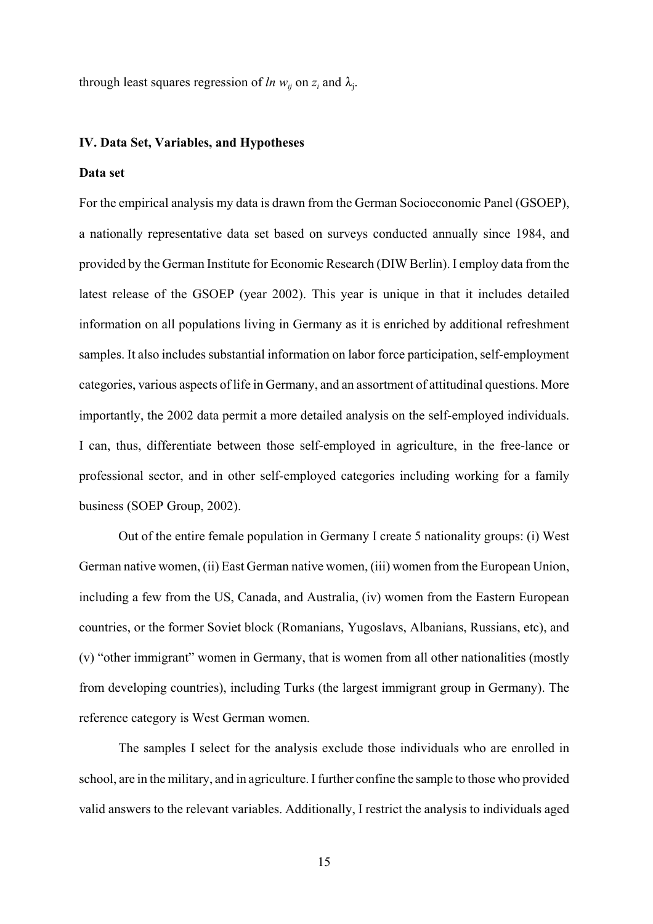through least squares regression of *ln*  $w_{ij}$  on  $z_i$  and  $\lambda_j$ .

#### **IV. Data Set, Variables, and Hypotheses**

#### **Data set**

For the empirical analysis my data is drawn from the German Socioeconomic Panel (GSOEP), a nationally representative data set based on surveys conducted annually since 1984, and provided by the German Institute for Economic Research (DIW Berlin). I employ data from the latest release of the GSOEP (year 2002). This year is unique in that it includes detailed information on all populations living in Germany as it is enriched by additional refreshment samples. It also includes substantial information on labor force participation, self-employment categories, various aspects of life in Germany, and an assortment of attitudinal questions. More importantly, the 2002 data permit a more detailed analysis on the self-employed individuals. I can, thus, differentiate between those self-employed in agriculture, in the free-lance or professional sector, and in other self-employed categories including working for a family business (SOEP Group, 2002).

Out of the entire female population in Germany I create 5 nationality groups: (i) West German native women, (ii) East German native women, (iii) women from the European Union, including a few from the US, Canada, and Australia, (iv) women from the Eastern European countries, or the former Soviet block (Romanians, Yugoslavs, Albanians, Russians, etc), and (v) "other immigrant" women in Germany, that is women from all other nationalities (mostly from developing countries), including Turks (the largest immigrant group in Germany). The reference category is West German women.

The samples I select for the analysis exclude those individuals who are enrolled in school, are in the military, and in agriculture. I further confine the sample to those who provided valid answers to the relevant variables. Additionally, I restrict the analysis to individuals aged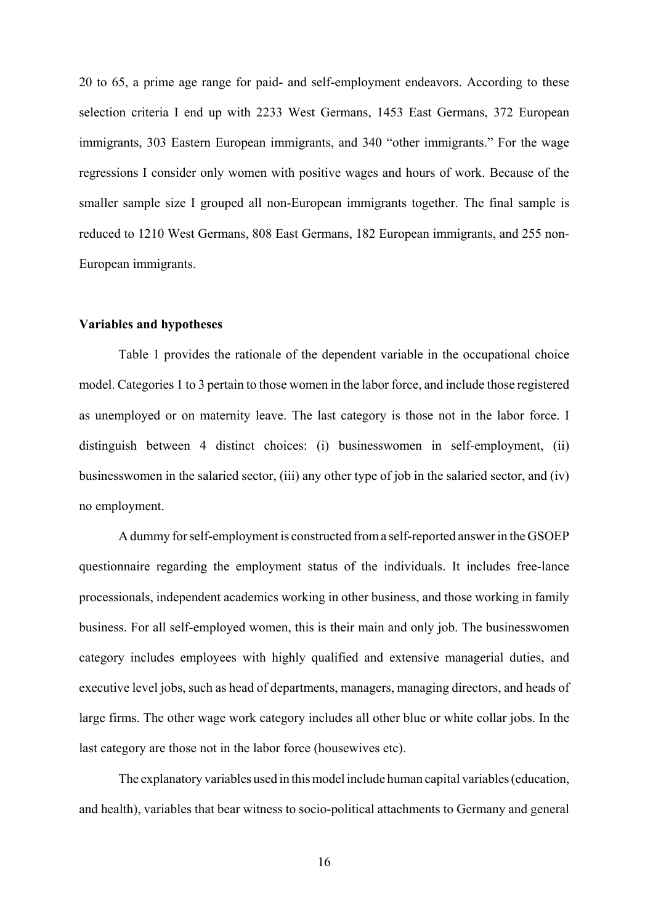20 to 65, a prime age range for paid- and self-employment endeavors. According to these selection criteria I end up with 2233 West Germans, 1453 East Germans, 372 European immigrants, 303 Eastern European immigrants, and 340 "other immigrants." For the wage regressions I consider only women with positive wages and hours of work. Because of the smaller sample size I grouped all non-European immigrants together. The final sample is reduced to 1210 West Germans, 808 East Germans, 182 European immigrants, and 255 non-European immigrants.

#### **Variables and hypotheses**

Table 1 provides the rationale of the dependent variable in the occupational choice model. Categories 1 to 3 pertain to those women in the labor force, and include those registered as unemployed or on maternity leave. The last category is those not in the labor force. I distinguish between 4 distinct choices: (i) businesswomen in self-employment, (ii) businesswomen in the salaried sector, (iii) any other type of job in the salaried sector, and (iv) no employment.

A dummy for self-employment is constructed from a self-reported answer in the GSOEP questionnaire regarding the employment status of the individuals. It includes free-lance processionals, independent academics working in other business, and those working in family business. For all self-employed women, this is their main and only job. The businesswomen category includes employees with highly qualified and extensive managerial duties, and executive level jobs, such as head of departments, managers, managing directors, and heads of large firms. The other wage work category includes all other blue or white collar jobs. In the last category are those not in the labor force (housewives etc).

The explanatory variables used in this model include human capital variables (education, and health), variables that bear witness to socio-political attachments to Germany and general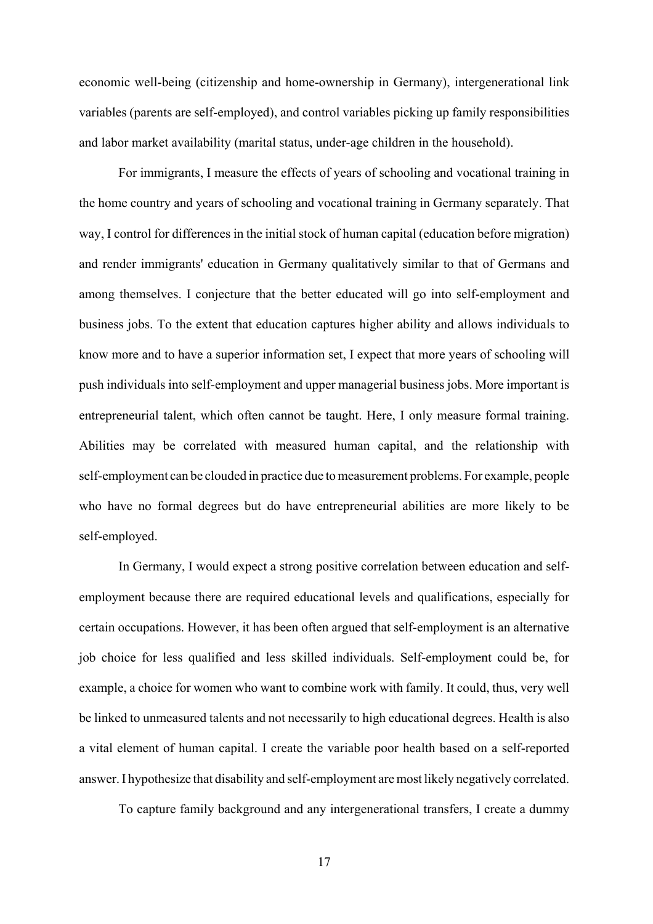economic well-being (citizenship and home-ownership in Germany), intergenerational link variables (parents are self-employed), and control variables picking up family responsibilities and labor market availability (marital status, under-age children in the household).

For immigrants, I measure the effects of years of schooling and vocational training in the home country and years of schooling and vocational training in Germany separately. That way, I control for differences in the initial stock of human capital (education before migration) and render immigrants' education in Germany qualitatively similar to that of Germans and among themselves. I conjecture that the better educated will go into self-employment and business jobs. To the extent that education captures higher ability and allows individuals to know more and to have a superior information set, I expect that more years of schooling will push individuals into self-employment and upper managerial business jobs. More important is entrepreneurial talent, which often cannot be taught. Here, I only measure formal training. Abilities may be correlated with measured human capital, and the relationship with self-employment can be clouded in practice due to measurement problems. For example, people who have no formal degrees but do have entrepreneurial abilities are more likely to be self-employed.

In Germany, I would expect a strong positive correlation between education and selfemployment because there are required educational levels and qualifications, especially for certain occupations. However, it has been often argued that self-employment is an alternative job choice for less qualified and less skilled individuals. Self-employment could be, for example, a choice for women who want to combine work with family. It could, thus, very well be linked to unmeasured talents and not necessarily to high educational degrees. Health is also a vital element of human capital. I create the variable poor health based on a self-reported answer. I hypothesize that disability and self-employment are most likely negatively correlated.

To capture family background and any intergenerational transfers, I create a dummy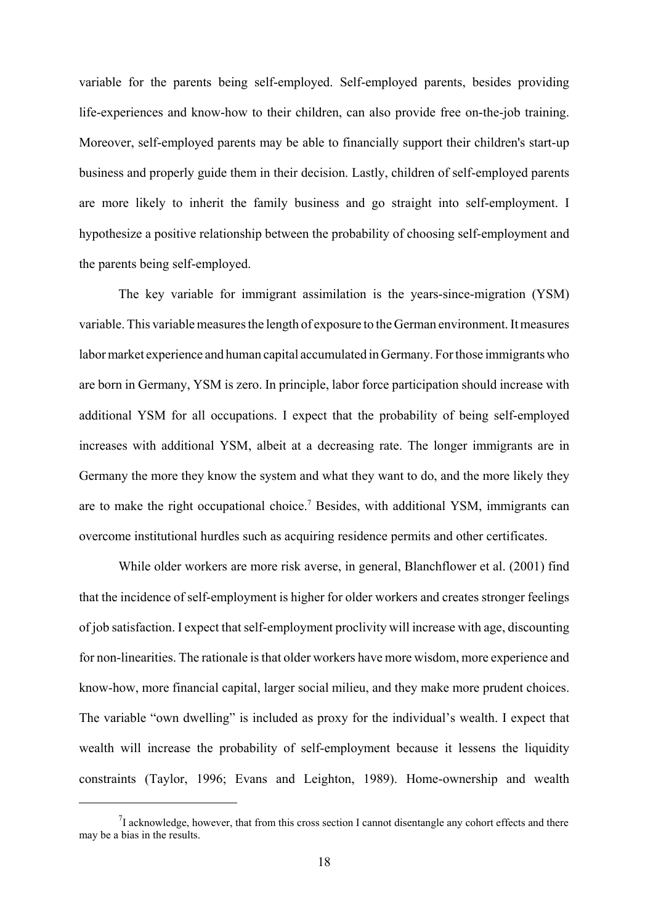variable for the parents being self-employed. Self-employed parents, besides providing life-experiences and know-how to their children, can also provide free on-the-job training. Moreover, self-employed parents may be able to financially support their children's start-up business and properly guide them in their decision. Lastly, children of self-employed parents are more likely to inherit the family business and go straight into self-employment. I hypothesize a positive relationship between the probability of choosing self-employment and the parents being self-employed.

The key variable for immigrant assimilation is the years-since-migration (YSM) variable. This variable measures the length of exposure to the German environment. It measures labor market experience and human capital accumulated in Germany. For those immigrants who are born in Germany, YSM is zero. In principle, labor force participation should increase with additional YSM for all occupations. I expect that the probability of being self-employed increases with additional YSM, albeit at a decreasing rate. The longer immigrants are in Germany the more they know the system and what they want to do, and the more likely they are to make the right occupational choice.<sup>7</sup> Besides, with additional YSM, immigrants can overcome institutional hurdles such as acquiring residence permits and other certificates.

While older workers are more risk averse, in general, Blanchflower et al. (2001) find that the incidence of self-employment is higher for older workers and creates stronger feelings of job satisfaction. I expect that self-employment proclivity will increase with age, discounting for non-linearities. The rationale is that older workers have more wisdom, more experience and know-how, more financial capital, larger social milieu, and they make more prudent choices. The variable "own dwelling" is included as proxy for the individual's wealth. I expect that wealth will increase the probability of self-employment because it lessens the liquidity constraints (Taylor, 1996; Evans and Leighton, 1989). Home-ownership and wealth

 $^{7}$ I acknowledge, however, that from this cross section I cannot disentangle any cohort effects and there may be a bias in the results.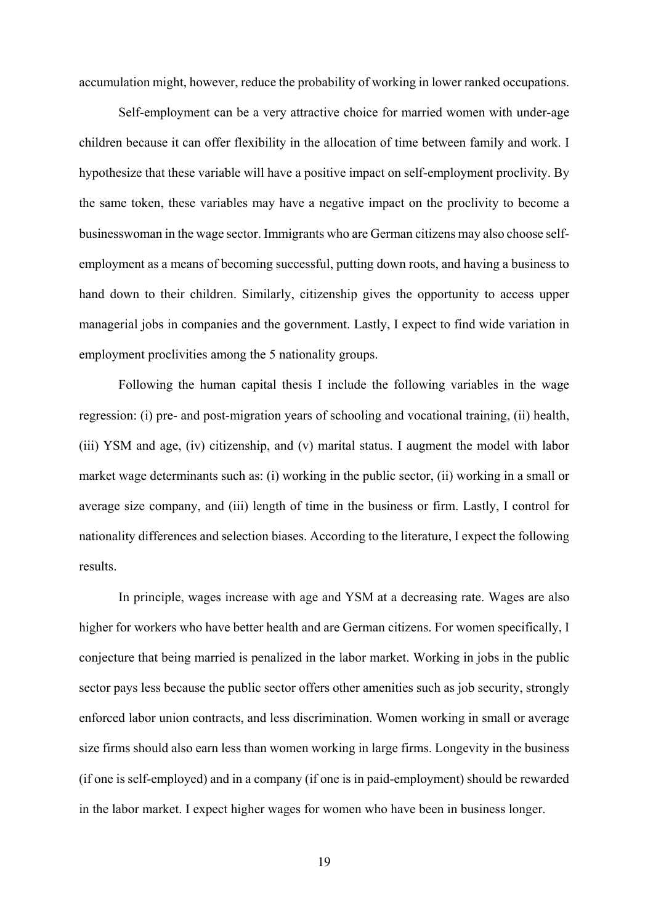accumulation might, however, reduce the probability of working in lower ranked occupations.

Self-employment can be a very attractive choice for married women with under-age children because it can offer flexibility in the allocation of time between family and work. I hypothesize that these variable will have a positive impact on self-employment proclivity. By the same token, these variables may have a negative impact on the proclivity to become a businesswoman in the wage sector. Immigrants who are German citizens may also choose selfemployment as a means of becoming successful, putting down roots, and having a business to hand down to their children. Similarly, citizenship gives the opportunity to access upper managerial jobs in companies and the government. Lastly, I expect to find wide variation in employment proclivities among the 5 nationality groups.

Following the human capital thesis I include the following variables in the wage regression: (i) pre- and post-migration years of schooling and vocational training, (ii) health, (iii) YSM and age, (iv) citizenship, and (v) marital status. I augment the model with labor market wage determinants such as: (i) working in the public sector, (ii) working in a small or average size company, and (iii) length of time in the business or firm. Lastly, I control for nationality differences and selection biases. According to the literature, I expect the following results.

In principle, wages increase with age and YSM at a decreasing rate. Wages are also higher for workers who have better health and are German citizens. For women specifically, I conjecture that being married is penalized in the labor market. Working in jobs in the public sector pays less because the public sector offers other amenities such as job security, strongly enforced labor union contracts, and less discrimination. Women working in small or average size firms should also earn less than women working in large firms. Longevity in the business (if one is self-employed) and in a company (if one is in paid-employment) should be rewarded in the labor market. I expect higher wages for women who have been in business longer.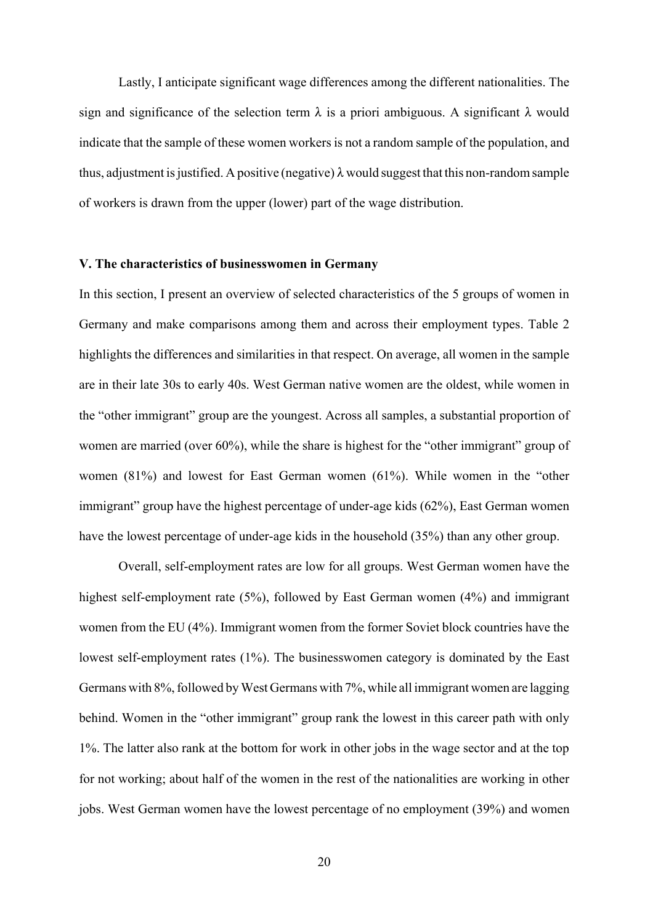Lastly, I anticipate significant wage differences among the different nationalities. The sign and significance of the selection term  $\lambda$  is a priori ambiguous. A significant  $\lambda$  would indicate that the sample of these women workers is not a random sample of the population, and thus, adjustment is justified. A positive (negative)  $\lambda$  would suggest that this non-random sample of workers is drawn from the upper (lower) part of the wage distribution.

#### **V. The characteristics of businesswomen in Germany**

In this section, I present an overview of selected characteristics of the 5 groups of women in Germany and make comparisons among them and across their employment types. Table 2 highlights the differences and similarities in that respect. On average, all women in the sample are in their late 30s to early 40s. West German native women are the oldest, while women in the "other immigrant" group are the youngest. Across all samples, a substantial proportion of women are married (over 60%), while the share is highest for the "other immigrant" group of women (81%) and lowest for East German women (61%). While women in the "other immigrant" group have the highest percentage of under-age kids (62%), East German women have the lowest percentage of under-age kids in the household (35%) than any other group.

Overall, self-employment rates are low for all groups. West German women have the highest self-employment rate (5%), followed by East German women (4%) and immigrant women from the EU (4%). Immigrant women from the former Soviet block countries have the lowest self-employment rates (1%). The businesswomen category is dominated by the East Germans with 8%, followed by West Germans with 7%, while all immigrant women are lagging behind. Women in the "other immigrant" group rank the lowest in this career path with only 1%. The latter also rank at the bottom for work in other jobs in the wage sector and at the top for not working; about half of the women in the rest of the nationalities are working in other jobs. West German women have the lowest percentage of no employment (39%) and women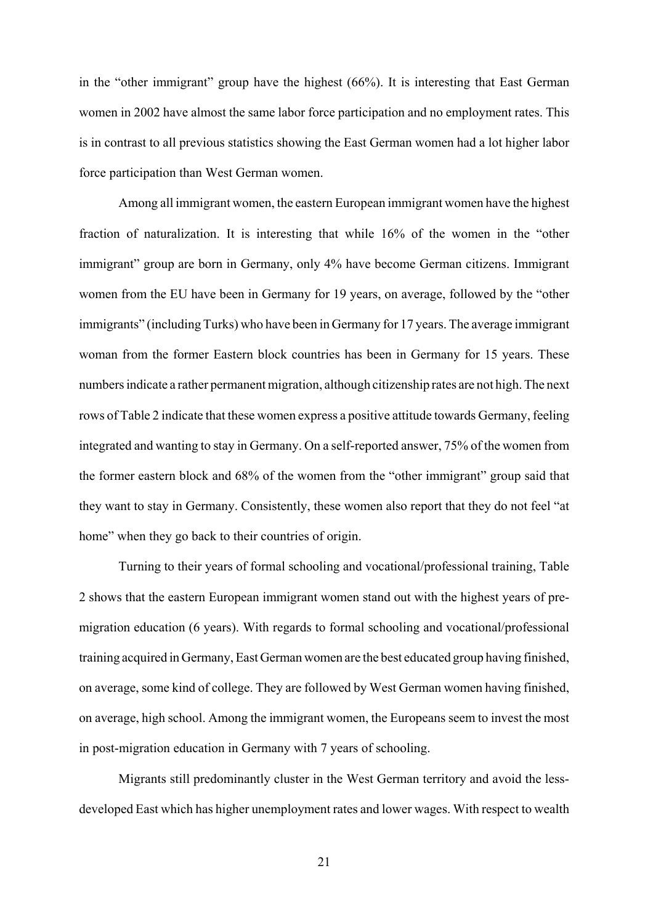in the "other immigrant" group have the highest (66%). It is interesting that East German women in 2002 have almost the same labor force participation and no employment rates. This is in contrast to all previous statistics showing the East German women had a lot higher labor force participation than West German women.

Among all immigrant women, the eastern European immigrant women have the highest fraction of naturalization. It is interesting that while 16% of the women in the "other immigrant" group are born in Germany, only 4% have become German citizens. Immigrant women from the EU have been in Germany for 19 years, on average, followed by the "other immigrants" (including Turks) who have been in Germany for 17 years. The average immigrant woman from the former Eastern block countries has been in Germany for 15 years. These numbers indicate a rather permanent migration, although citizenship rates are not high. The next rows of Table 2 indicate that these women express a positive attitude towards Germany, feeling integrated and wanting to stay in Germany. On a self-reported answer, 75% of the women from the former eastern block and 68% of the women from the "other immigrant" group said that they want to stay in Germany. Consistently, these women also report that they do not feel "at home" when they go back to their countries of origin.

Turning to their years of formal schooling and vocational/professional training, Table 2 shows that the eastern European immigrant women stand out with the highest years of premigration education (6 years). With regards to formal schooling and vocational/professional training acquired in Germany, East German women are the best educated group having finished, on average, some kind of college. They are followed by West German women having finished, on average, high school. Among the immigrant women, the Europeans seem to invest the most in post-migration education in Germany with 7 years of schooling.

Migrants still predominantly cluster in the West German territory and avoid the lessdeveloped East which has higher unemployment rates and lower wages. With respect to wealth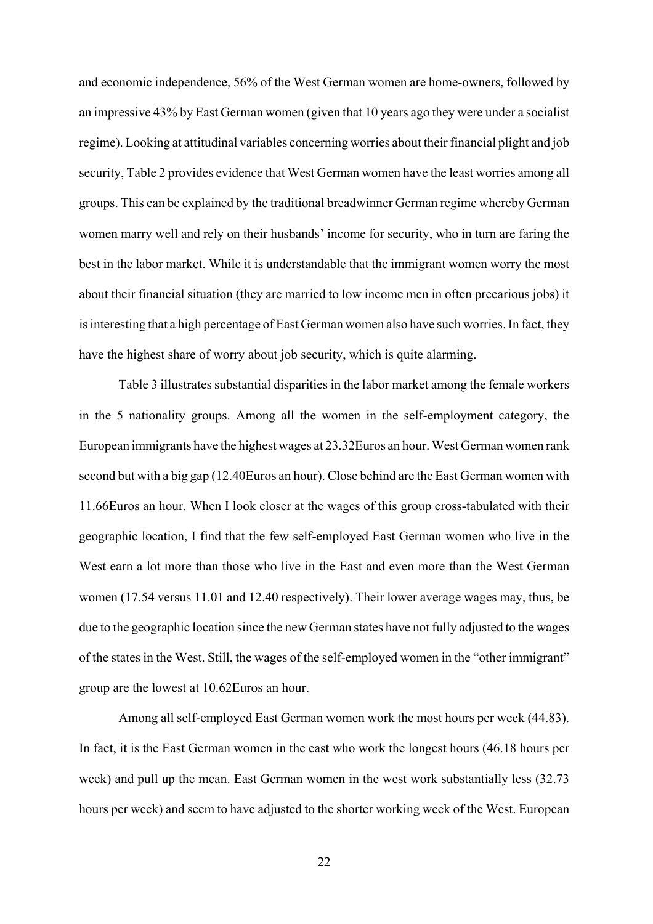and economic independence, 56% of the West German women are home-owners, followed by an impressive 43% by East German women (given that 10 years ago they were under a socialist regime). Looking at attitudinal variables concerning worries about their financial plight and job security, Table 2 provides evidence that West German women have the least worries among all groups. This can be explained by the traditional breadwinner German regime whereby German women marry well and rely on their husbands' income for security, who in turn are faring the best in the labor market. While it is understandable that the immigrant women worry the most about their financial situation (they are married to low income men in often precarious jobs) it is interesting that a high percentage of East German women also have such worries. In fact, they have the highest share of worry about job security, which is quite alarming.

Table 3 illustrates substantial disparities in the labor market among the female workers in the 5 nationality groups. Among all the women in the self-employment category, the European immigrants have the highest wages at 23.32Euros an hour. West German women rank second but with a big gap (12.40Euros an hour). Close behind are the East German women with 11.66Euros an hour. When I look closer at the wages of this group cross-tabulated with their geographic location, I find that the few self-employed East German women who live in the West earn a lot more than those who live in the East and even more than the West German women (17.54 versus 11.01 and 12.40 respectively). Their lower average wages may, thus, be due to the geographic location since the new German states have not fully adjusted to the wages of the states in the West. Still, the wages of the self-employed women in the "other immigrant" group are the lowest at 10.62Euros an hour.

Among all self-employed East German women work the most hours per week (44.83). In fact, it is the East German women in the east who work the longest hours (46.18 hours per week) and pull up the mean. East German women in the west work substantially less (32.73 hours per week) and seem to have adjusted to the shorter working week of the West. European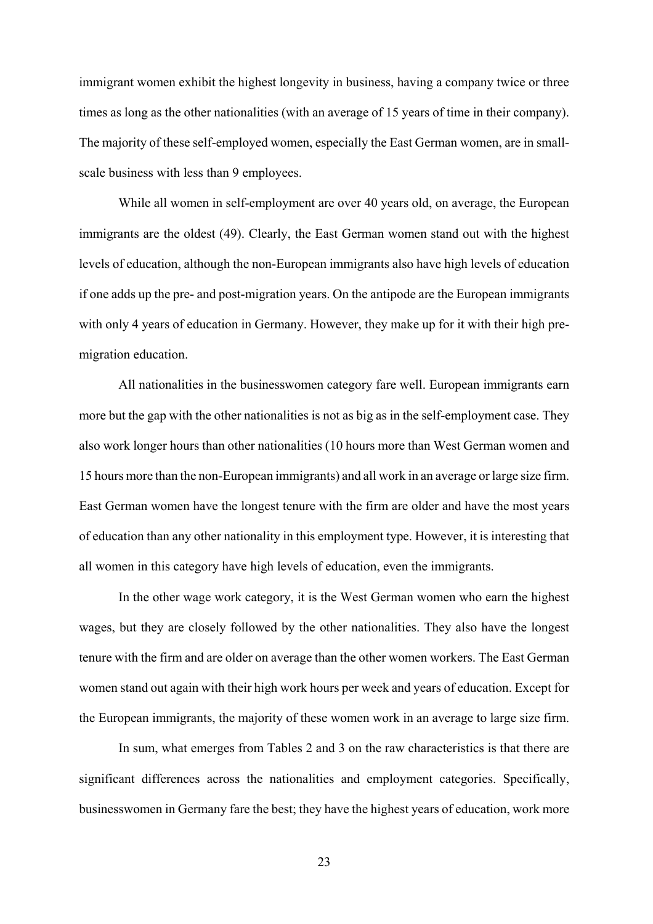immigrant women exhibit the highest longevity in business, having a company twice or three times as long as the other nationalities (with an average of 15 years of time in their company). The majority of these self-employed women, especially the East German women, are in smallscale business with less than 9 employees.

While all women in self-employment are over 40 years old, on average, the European immigrants are the oldest (49). Clearly, the East German women stand out with the highest levels of education, although the non-European immigrants also have high levels of education if one adds up the pre- and post-migration years. On the antipode are the European immigrants with only 4 years of education in Germany. However, they make up for it with their high premigration education.

All nationalities in the businesswomen category fare well. European immigrants earn more but the gap with the other nationalities is not as big as in the self-employment case. They also work longer hours than other nationalities (10 hours more than West German women and 15 hours more than the non-European immigrants) and all work in an average or large size firm. East German women have the longest tenure with the firm are older and have the most years of education than any other nationality in this employment type. However, it is interesting that all women in this category have high levels of education, even the immigrants.

In the other wage work category, it is the West German women who earn the highest wages, but they are closely followed by the other nationalities. They also have the longest tenure with the firm and are older on average than the other women workers. The East German women stand out again with their high work hours per week and years of education. Except for the European immigrants, the majority of these women work in an average to large size firm.

In sum, what emerges from Tables 2 and 3 on the raw characteristics is that there are significant differences across the nationalities and employment categories. Specifically, businesswomen in Germany fare the best; they have the highest years of education, work more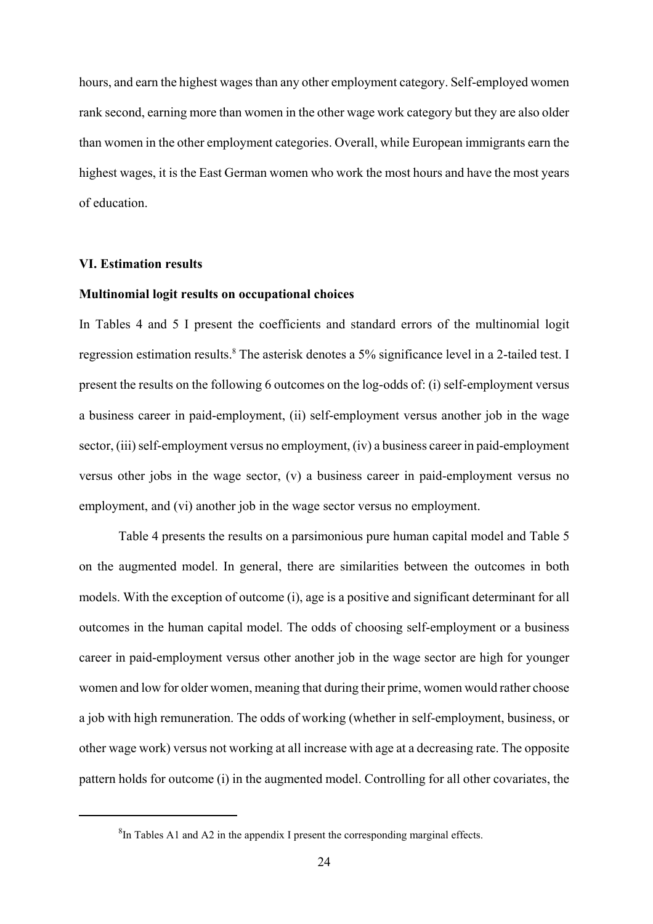hours, and earn the highest wages than any other employment category. Self-employed women rank second, earning more than women in the other wage work category but they are also older than women in the other employment categories. Overall, while European immigrants earn the highest wages, it is the East German women who work the most hours and have the most years of education.

#### **VI. Estimation results**

#### **Multinomial logit results on occupational choices**

In Tables 4 and 5 I present the coefficients and standard errors of the multinomial logit regression estimation results.<sup>8</sup> The asterisk denotes a 5% significance level in a 2-tailed test. I present the results on the following 6 outcomes on the log-odds of: (i) self-employment versus a business career in paid-employment, (ii) self-employment versus another job in the wage sector, (iii) self-employment versus no employment, (iv) a business career in paid-employment versus other jobs in the wage sector, (v) a business career in paid-employment versus no employment, and (vi) another job in the wage sector versus no employment.

Table 4 presents the results on a parsimonious pure human capital model and Table 5 on the augmented model. In general, there are similarities between the outcomes in both models. With the exception of outcome (i), age is a positive and significant determinant for all outcomes in the human capital model. The odds of choosing self-employment or a business career in paid-employment versus other another job in the wage sector are high for younger women and low for older women, meaning that during their prime, women would rather choose a job with high remuneration. The odds of working (whether in self-employment, business, or other wage work) versus not working at all increase with age at a decreasing rate. The opposite pattern holds for outcome (i) in the augmented model. Controlling for all other covariates, the

 ${}^{8}$ In Tables A1 and A2 in the appendix I present the corresponding marginal effects.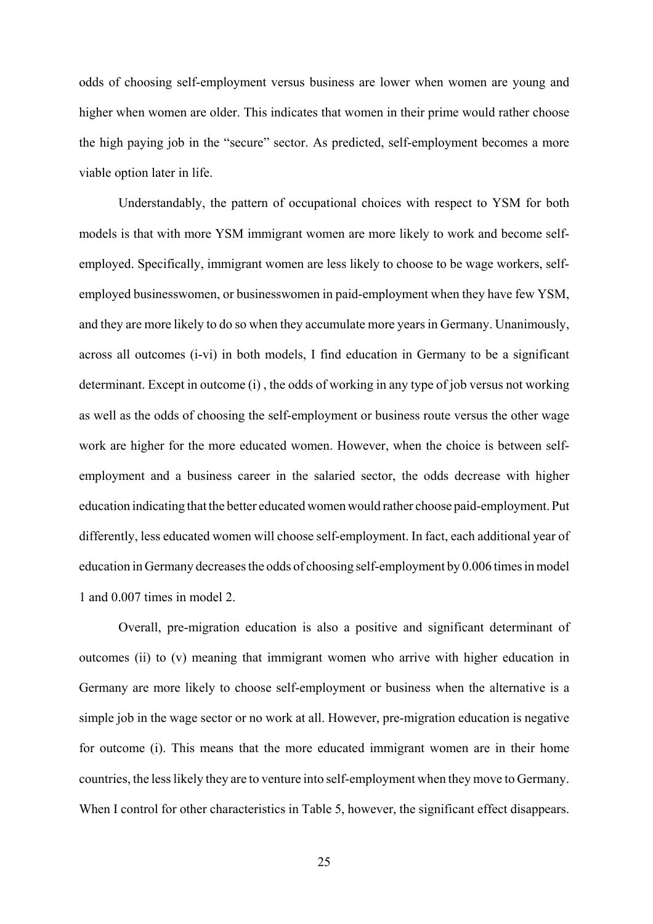odds of choosing self-employment versus business are lower when women are young and higher when women are older. This indicates that women in their prime would rather choose the high paying job in the "secure" sector. As predicted, self-employment becomes a more viable option later in life.

Understandably, the pattern of occupational choices with respect to YSM for both models is that with more YSM immigrant women are more likely to work and become selfemployed. Specifically, immigrant women are less likely to choose to be wage workers, selfemployed businesswomen, or businesswomen in paid-employment when they have few YSM, and they are more likely to do so when they accumulate more years in Germany. Unanimously, across all outcomes (i-vi) in both models, I find education in Germany to be a significant determinant. Except in outcome (i) , the odds of working in any type of job versus not working as well as the odds of choosing the self-employment or business route versus the other wage work are higher for the more educated women. However, when the choice is between selfemployment and a business career in the salaried sector, the odds decrease with higher education indicating that the better educated women would rather choose paid-employment. Put differently, less educated women will choose self-employment. In fact, each additional year of education in Germany decreases the odds of choosing self-employment by 0.006 times in model 1 and 0.007 times in model 2.

Overall, pre-migration education is also a positive and significant determinant of outcomes (ii) to (v) meaning that immigrant women who arrive with higher education in Germany are more likely to choose self-employment or business when the alternative is a simple job in the wage sector or no work at all. However, pre-migration education is negative for outcome (i). This means that the more educated immigrant women are in their home countries, the less likely they are to venture into self-employment when they move to Germany. When I control for other characteristics in Table 5, however, the significant effect disappears.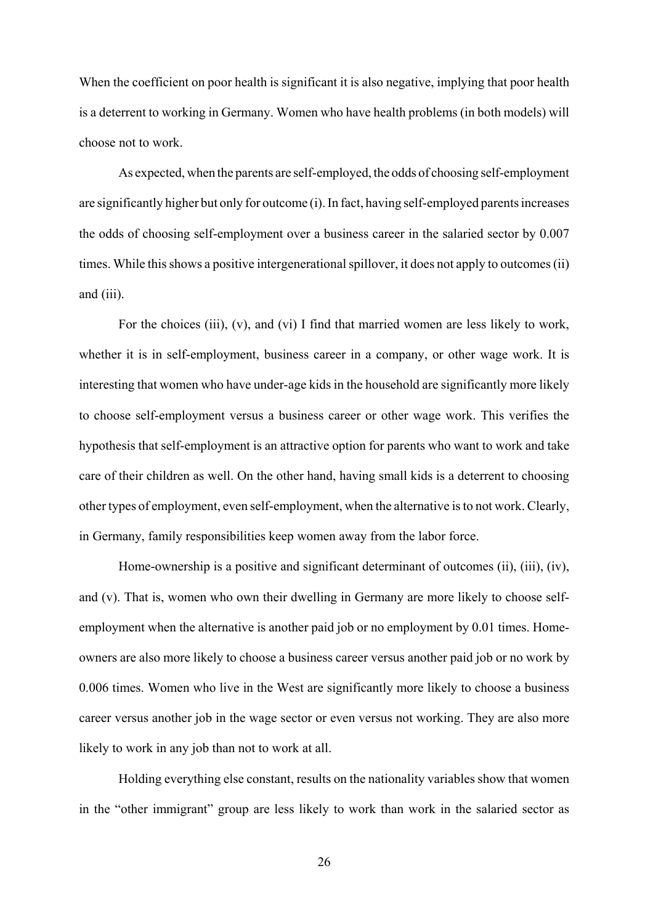When the coefficient on poor health is significant it is also negative, implying that poor health is a deterrent to working in Germany. Women who have health problems (in both models) will choose not to work.

As expected, when the parents are self-employed, the odds of choosing self-employment are significantly higher but only for outcome (i). In fact, having self-employed parents increases the odds of choosing self-employment over a business career in the salaried sector by 0.007 times. While this shows a positive intergenerational spillover, it does not apply to outcomes (ii) and (iii).

For the choices (iii), (v), and (vi) I find that married women are less likely to work, whether it is in self-employment, business career in a company, or other wage work. It is interesting that women who have under-age kids in the household are significantly more likely to choose self-employment versus a business career or other wage work. This verifies the hypothesis that self-employment is an attractive option for parents who want to work and take care of their children as well. On the other hand, having small kids is a deterrent to choosing other types of employment, even self-employment, when the alternative is to not work. Clearly, in Germany, family responsibilities keep women away from the labor force.

Home-ownership is a positive and significant determinant of outcomes (ii), (iii), (iv), and (v). That is, women who own their dwelling in Germany are more likely to choose selfemployment when the alternative is another paid job or no employment by 0.01 times. Homeowners are also more likely to choose a business career versus another paid job or no work by 0.006 times. Women who live in the West are significantly more likely to choose a business career versus another job in the wage sector or even versus not working. They are also more likely to work in any job than not to work at all.

Holding everything else constant, results on the nationality variables show that women in the "other immigrant" group are less likely to work than work in the salaried sector as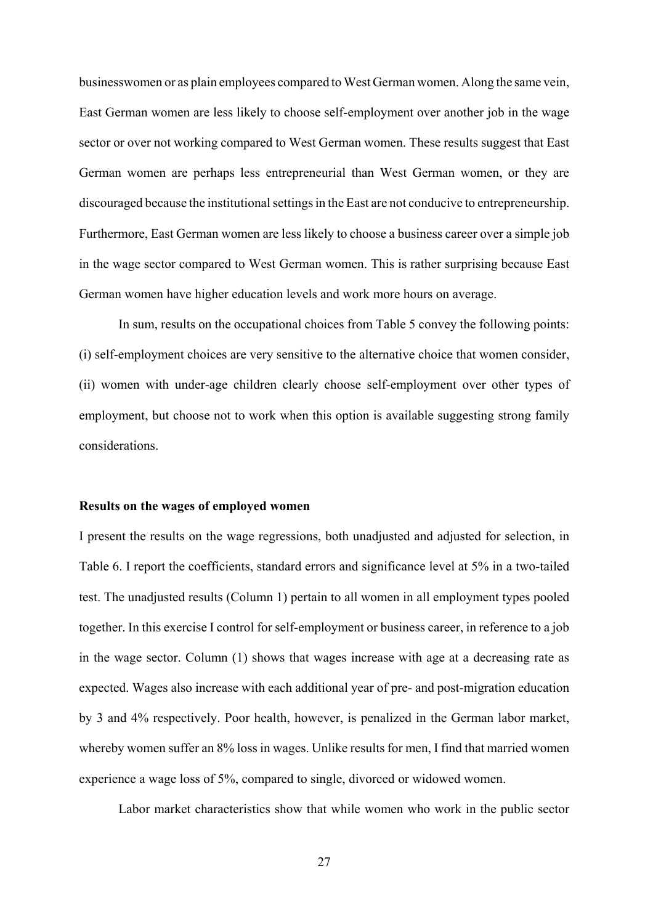businesswomen or as plain employees compared to West German women. Along the same vein, East German women are less likely to choose self-employment over another job in the wage sector or over not working compared to West German women. These results suggest that East German women are perhaps less entrepreneurial than West German women, or they are discouraged because the institutional settings in the East are not conducive to entrepreneurship. Furthermore, East German women are less likely to choose a business career over a simple job in the wage sector compared to West German women. This is rather surprising because East German women have higher education levels and work more hours on average.

In sum, results on the occupational choices from Table 5 convey the following points: (i) self-employment choices are very sensitive to the alternative choice that women consider, (ii) women with under-age children clearly choose self-employment over other types of employment, but choose not to work when this option is available suggesting strong family considerations.

#### **Results on the wages of employed women**

I present the results on the wage regressions, both unadjusted and adjusted for selection, in Table 6. I report the coefficients, standard errors and significance level at 5% in a two-tailed test. The unadjusted results (Column 1) pertain to all women in all employment types pooled together. In this exercise I control for self-employment or business career, in reference to a job in the wage sector. Column (1) shows that wages increase with age at a decreasing rate as expected. Wages also increase with each additional year of pre- and post-migration education by 3 and 4% respectively. Poor health, however, is penalized in the German labor market, whereby women suffer an 8% loss in wages. Unlike results for men, I find that married women experience a wage loss of 5%, compared to single, divorced or widowed women.

Labor market characteristics show that while women who work in the public sector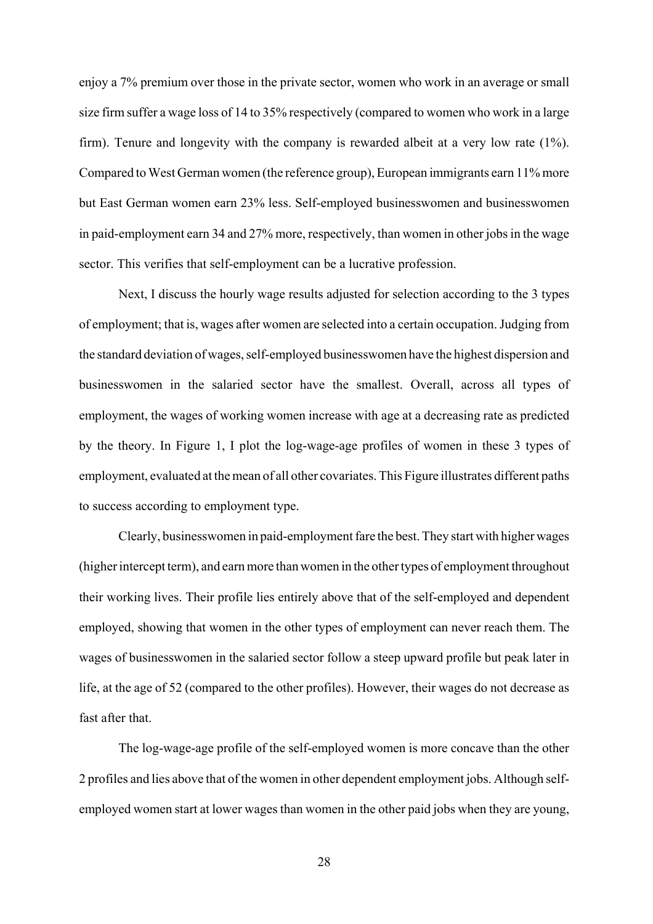enjoy a 7% premium over those in the private sector, women who work in an average or small size firm suffer a wage loss of 14 to 35% respectively (compared to women who work in a large firm). Tenure and longevity with the company is rewarded albeit at a very low rate (1%). Compared to West German women (the reference group), European immigrants earn 11% more but East German women earn 23% less. Self-employed businesswomen and businesswomen in paid-employment earn 34 and 27% more, respectively, than women in other jobs in the wage sector. This verifies that self-employment can be a lucrative profession.

Next, I discuss the hourly wage results adjusted for selection according to the 3 types of employment; that is, wages after women are selected into a certain occupation. Judging from the standard deviation of wages, self-employed businesswomen have the highest dispersion and businesswomen in the salaried sector have the smallest. Overall, across all types of employment, the wages of working women increase with age at a decreasing rate as predicted by the theory. In Figure 1, I plot the log-wage-age profiles of women in these 3 types of employment, evaluated at the mean of all other covariates. This Figure illustrates different paths to success according to employment type.

Clearly, businesswomen in paid-employment fare the best. They start with higher wages (higher intercept term), and earn more than women in the other types of employment throughout their working lives. Their profile lies entirely above that of the self-employed and dependent employed, showing that women in the other types of employment can never reach them. The wages of businesswomen in the salaried sector follow a steep upward profile but peak later in life, at the age of 52 (compared to the other profiles). However, their wages do not decrease as fast after that.

The log-wage-age profile of the self-employed women is more concave than the other 2 profiles and lies above that of the women in other dependent employment jobs. Although selfemployed women start at lower wages than women in the other paid jobs when they are young,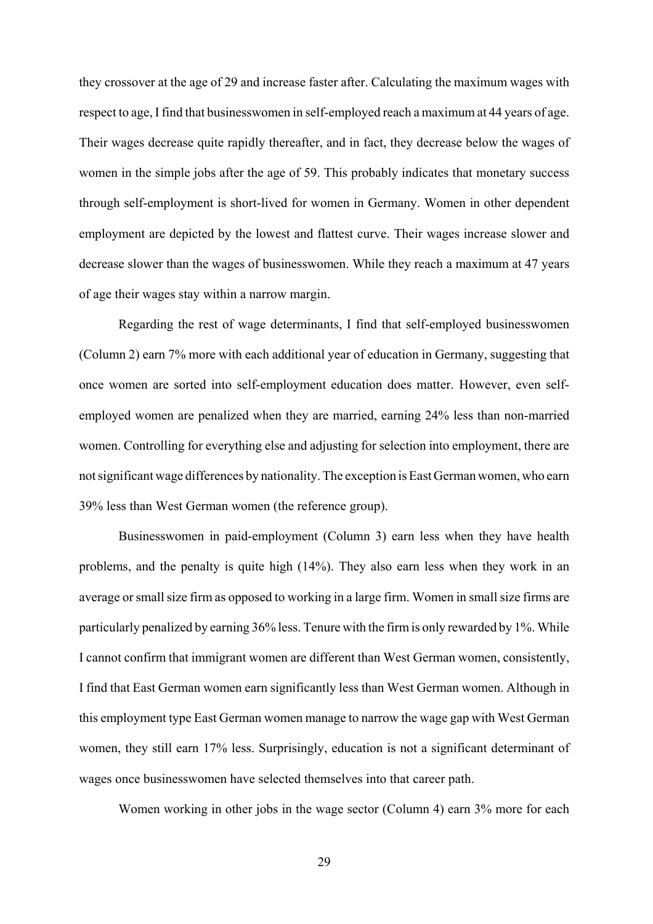they crossover at the age of 29 and increase faster after. Calculating the maximum wages with respect to age, I find that businesswomen in self-employed reach a maximum at 44 years of age. Their wages decrease quite rapidly thereafter, and in fact, they decrease below the wages of women in the simple jobs after the age of 59. This probably indicates that monetary success through self-employment is short-lived for women in Germany. Women in other dependent employment are depicted by the lowest and flattest curve. Their wages increase slower and decrease slower than the wages of businesswomen. While they reach a maximum at 47 years of age their wages stay within a narrow margin.

Regarding the rest of wage determinants, I find that self-employed businesswomen (Column 2) earn 7% more with each additional year of education in Germany, suggesting that once women are sorted into self-employment education does matter. However, even selfemployed women are penalized when they are married, earning 24% less than non-married women. Controlling for everything else and adjusting for selection into employment, there are not significant wage differences by nationality. The exception is East German women, who earn 39% less than West German women (the reference group).

Businesswomen in paid-employment (Column 3) earn less when they have health problems, and the penalty is quite high (14%). They also earn less when they work in an average or small size firm as opposed to working in a large firm. Women in small size firms are particularly penalized by earning 36% less. Tenure with the firm is only rewarded by 1%. While I cannot confirm that immigrant women are different than West German women, consistently, I find that East German women earn significantly less than West German women. Although in this employment type East German women manage to narrow the wage gap with West German women, they still earn 17% less. Surprisingly, education is not a significant determinant of wages once businesswomen have selected themselves into that career path.

Women working in other jobs in the wage sector (Column 4) earn 3% more for each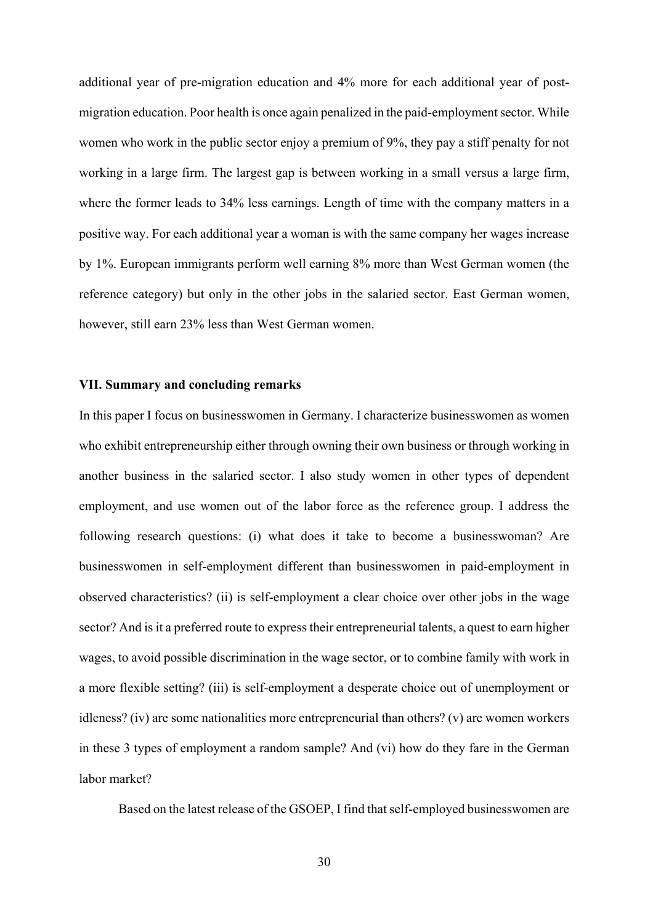additional year of pre-migration education and 4% more for each additional year of postmigration education. Poor health is once again penalized in the paid-employment sector. While women who work in the public sector enjoy a premium of 9%, they pay a stiff penalty for not working in a large firm. The largest gap is between working in a small versus a large firm, where the former leads to 34% less earnings. Length of time with the company matters in a positive way. For each additional year a woman is with the same company her wages increase by 1%. European immigrants perform well earning 8% more than West German women (the reference category) but only in the other jobs in the salaried sector. East German women, however, still earn 23% less than West German women.

#### **VII. Summary and concluding remarks**

In this paper I focus on businesswomen in Germany. I characterize businesswomen as women who exhibit entrepreneurship either through owning their own business or through working in another business in the salaried sector. I also study women in other types of dependent employment, and use women out of the labor force as the reference group. I address the following research questions: (i) what does it take to become a businesswoman? Are businesswomen in self-employment different than businesswomen in paid-employment in observed characteristics? (ii) is self-employment a clear choice over other jobs in the wage sector? And is it a preferred route to express their entrepreneurial talents, a quest to earn higher wages, to avoid possible discrimination in the wage sector, or to combine family with work in a more flexible setting? (iii) is self-employment a desperate choice out of unemployment or idleness? (iv) are some nationalities more entrepreneurial than others? (v) are women workers in these 3 types of employment a random sample? And (vi) how do they fare in the German labor market?

Based on the latest release of the GSOEP, I find that self-employed businesswomen are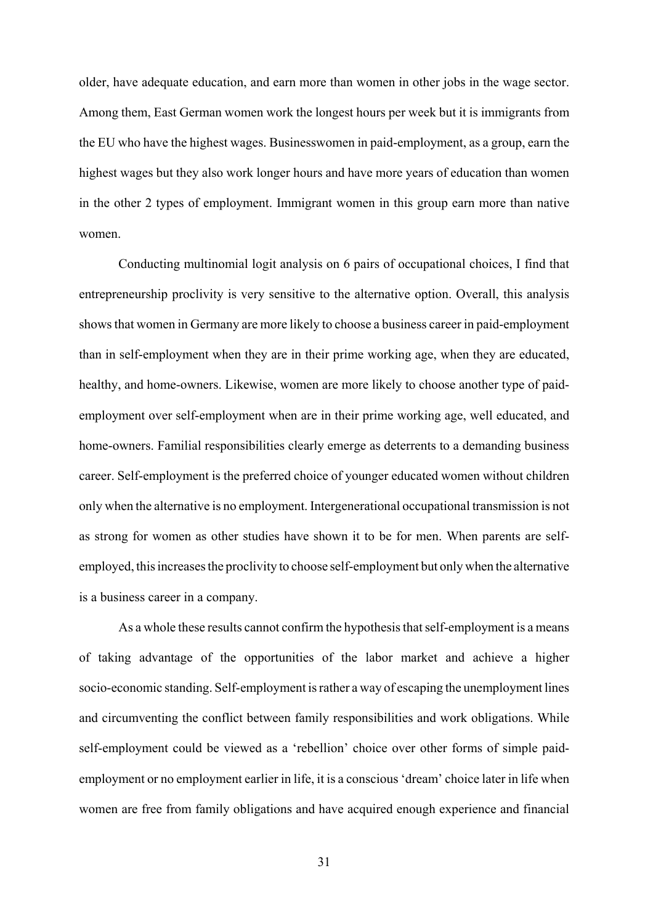older, have adequate education, and earn more than women in other jobs in the wage sector. Among them, East German women work the longest hours per week but it is immigrants from the EU who have the highest wages. Businesswomen in paid-employment, as a group, earn the highest wages but they also work longer hours and have more years of education than women in the other 2 types of employment. Immigrant women in this group earn more than native women.

Conducting multinomial logit analysis on 6 pairs of occupational choices, I find that entrepreneurship proclivity is very sensitive to the alternative option. Overall, this analysis shows that women in Germany are more likely to choose a business career in paid-employment than in self-employment when they are in their prime working age, when they are educated, healthy, and home-owners. Likewise, women are more likely to choose another type of paidemployment over self-employment when are in their prime working age, well educated, and home-owners. Familial responsibilities clearly emerge as deterrents to a demanding business career. Self-employment is the preferred choice of younger educated women without children only when the alternative is no employment. Intergenerational occupational transmission is not as strong for women as other studies have shown it to be for men. When parents are selfemployed, this increases the proclivity to choose self-employment but only when the alternative is a business career in a company.

As a whole these results cannot confirm the hypothesis that self-employment is a means of taking advantage of the opportunities of the labor market and achieve a higher socio-economic standing. Self-employment is rather a way of escaping the unemployment lines and circumventing the conflict between family responsibilities and work obligations. While self-employment could be viewed as a 'rebellion' choice over other forms of simple paidemployment or no employment earlier in life, it is a conscious 'dream' choice later in life when women are free from family obligations and have acquired enough experience and financial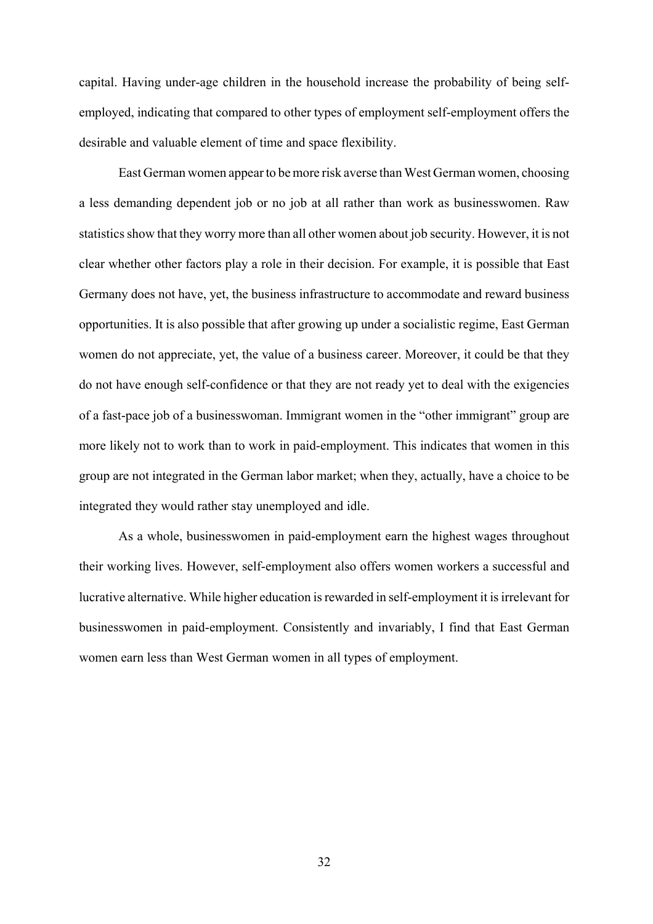capital. Having under-age children in the household increase the probability of being selfemployed, indicating that compared to other types of employment self-employment offers the desirable and valuable element of time and space flexibility.

East German women appear to be more risk averse than West German women, choosing a less demanding dependent job or no job at all rather than work as businesswomen. Raw statistics show that they worry more than all other women about job security. However, it is not clear whether other factors play a role in their decision. For example, it is possible that East Germany does not have, yet, the business infrastructure to accommodate and reward business opportunities. It is also possible that after growing up under a socialistic regime, East German women do not appreciate, yet, the value of a business career. Moreover, it could be that they do not have enough self-confidence or that they are not ready yet to deal with the exigencies of a fast-pace job of a businesswoman. Immigrant women in the "other immigrant" group are more likely not to work than to work in paid-employment. This indicates that women in this group are not integrated in the German labor market; when they, actually, have a choice to be integrated they would rather stay unemployed and idle.

As a whole, businesswomen in paid-employment earn the highest wages throughout their working lives. However, self-employment also offers women workers a successful and lucrative alternative. While higher education is rewarded in self-employment it is irrelevant for businesswomen in paid-employment. Consistently and invariably, I find that East German women earn less than West German women in all types of employment.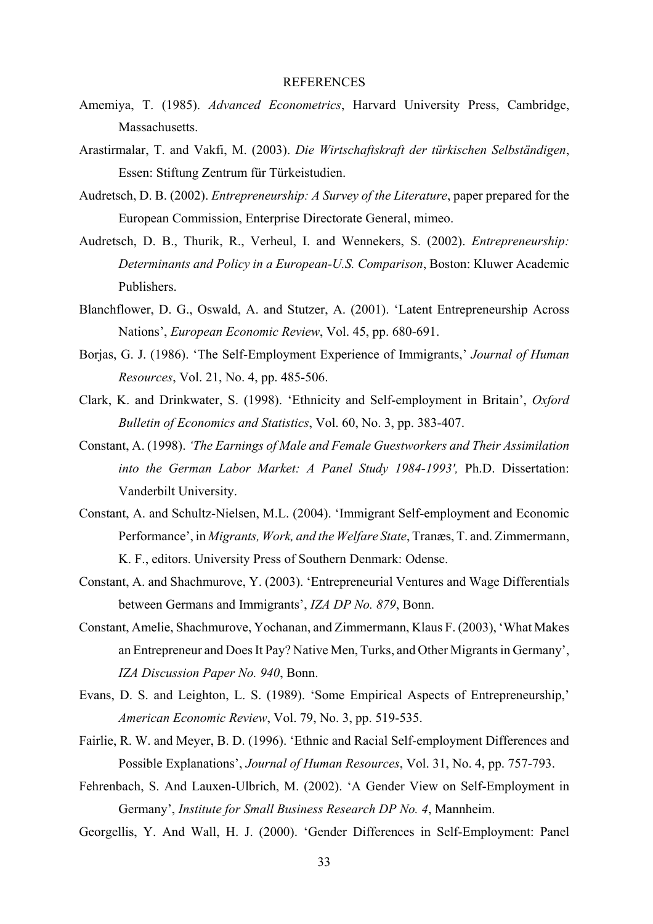#### REFERENCES

- Amemiya, T. (1985). *Advanced Econometrics*, Harvard University Press, Cambridge, Massachusetts.
- Arastirmalar, T. and Vakfi, M. (2003). *Die Wirtschaftskraft der türkischen Selbständigen*, Essen: Stiftung Zentrum für Türkeistudien.
- Audretsch, D. B. (2002). *Entrepreneurship: A Survey of the Literature*, paper prepared for the European Commission, Enterprise Directorate General, mimeo.
- Audretsch, D. B., Thurik, R., Verheul, I. and Wennekers, S. (2002). *Entrepreneurship: Determinants and Policy in a European-U.S. Comparison*, Boston: Kluwer Academic Publishers.
- Blanchflower, D. G., Oswald, A. and Stutzer, A. (2001). 'Latent Entrepreneurship Across Nations', *European Economic Review*, Vol. 45, pp. 680-691.
- Borias, G. J. (1986). 'The Self-Employment Experience of Immigrants,' *Journal of Human Resources*, Vol. 21, No. 4, pp. 485-506.
- Clark, K. and Drinkwater, S. (1998). 'Ethnicity and Self-employment in Britain', *Oxford Bulletin of Economics and Statistics*, Vol. 60, No. 3, pp. 383-407.
- Constant, A. (1998). *'The Earnings of Male and Female Guestworkers and Their Assimilation into the German Labor Market: A Panel Study 1984-1993',* Ph.D. Dissertation: Vanderbilt University.
- Constant, A. and Schultz-Nielsen, M.L. (2004). 'Immigrant Self-employment and Economic Performance', in *Migrants, Work, and the Welfare State*, Tranæs, T. and. Zimmermann, K. F., editors. University Press of Southern Denmark: Odense.
- Constant, A. and Shachmurove, Y. (2003). 'Entrepreneurial Ventures and Wage Differentials between Germans and Immigrants', *IZA DP No. 879*, Bonn.
- Constant, Amelie, Shachmurove, Yochanan, and Zimmermann, Klaus F. (2003), 'What Makes an Entrepreneur and Does It Pay? Native Men, Turks, and Other Migrants in Germany', *IZA Discussion Paper No. 940*, Bonn.
- Evans, D. S. and Leighton, L. S. (1989). 'Some Empirical Aspects of Entrepreneurship,' *American Economic Review*, Vol. 79, No. 3, pp. 519-535.
- Fairlie, R. W. and Meyer, B. D. (1996). 'Ethnic and Racial Self-employment Differences and Possible Explanations', *Journal of Human Resources*, Vol. 31, No. 4, pp. 757-793.
- Fehrenbach, S. And Lauxen-Ulbrich, M. (2002). 'A Gender View on Self-Employment in Germany', *Institute for Small Business Research DP No. 4*, Mannheim.
- Georgellis, Y. And Wall, H. J. (2000). 'Gender Differences in Self-Employment: Panel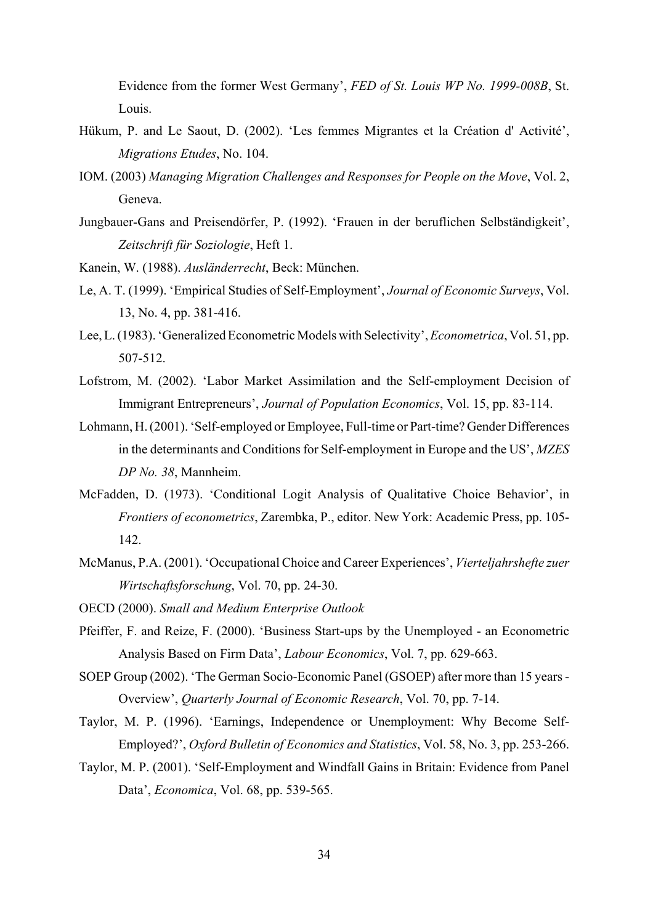Evidence from the former West Germany', *FED of St. Louis WP No. 1999-008B*, St. Louis.

- Hükum, P. and Le Saout, D. (2002). 'Les femmes Migrantes et la Création d' Activité', *Migrations Etudes*, No. 104.
- IOM. (2003) *Managing Migration Challenges and Responses for People on the Move*, Vol. 2, Geneva.
- Jungbauer-Gans and Preisendörfer, P. (1992). 'Frauen in der beruflichen Selbständigkeit', *Zeitschrift für Soziologie*, Heft 1.

Kanein, W. (1988). *Ausländerrecht*, Beck: München.

- Le, A. T. (1999). 'Empirical Studies of Self-Employment', *Journal of Economic Surveys*, Vol. 13, No. 4, pp. 381-416.
- Lee, L. (1983). 'Generalized Econometric Models with Selectivity', *Econometrica*, Vol. 51, pp. 507-512.
- Lofstrom, M. (2002). 'Labor Market Assimilation and the Self-employment Decision of Immigrant Entrepreneurs', *Journal of Population Economics*, Vol. 15, pp. 83-114.
- Lohmann, H. (2001). 'Self-employed or Employee, Full-time or Part-time? Gender Differences in the determinants and Conditions for Self-employment in Europe and the US', *MZES DP No. 38*, Mannheim.
- McFadden, D. (1973). 'Conditional Logit Analysis of Qualitative Choice Behavior', in *Frontiers of econometrics*, Zarembka, P., editor. New York: Academic Press, pp. 105- 142.
- McManus, P.A. (2001). 'Occupational Choice and Career Experiences', *Vierteljahrshefte zuer Wirtschaftsforschung*, Vol. 70, pp. 24-30.
- OECD (2000). *Small and Medium Enterprise Outlook*
- Pfeiffer, F. and Reize, F. (2000). 'Business Start-ups by the Unemployed an Econometric Analysis Based on Firm Data', *Labour Economics*, Vol. 7, pp. 629-663.
- SOEP Group (2002). 'The German Socio-Economic Panel (GSOEP) after more than 15 years Overview', *Quarterly Journal of Economic Research*, Vol. 70, pp. 7-14.
- Taylor, M. P. (1996). 'Earnings, Independence or Unemployment: Why Become Self-Employed?', *Oxford Bulletin of Economics and Statistics*, Vol. 58, No. 3, pp. 253-266.
- Taylor, M. P. (2001). 'Self-Employment and Windfall Gains in Britain: Evidence from Panel Data', *Economica*, Vol. 68, pp. 539-565.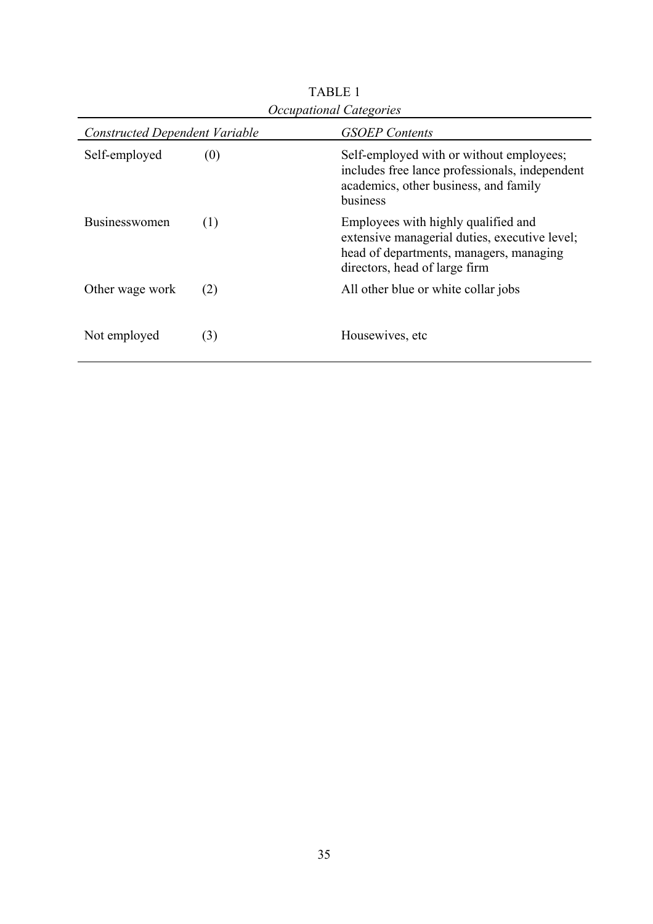| <b>Constructed Dependent Variable</b> |     | <b>GSOEP</b> Contents                                                                                                                                            |  |  |  |
|---------------------------------------|-----|------------------------------------------------------------------------------------------------------------------------------------------------------------------|--|--|--|
| Self-employed                         | (0) | Self-employed with or without employees;<br>includes free lance professionals, independent<br>academics, other business, and family<br>business                  |  |  |  |
| <b>Businesswomen</b>                  | (1) | Employees with highly qualified and<br>extensive managerial duties, executive level;<br>head of departments, managers, managing<br>directors, head of large firm |  |  |  |
| Other wage work                       | (2) | All other blue or white collar jobs                                                                                                                              |  |  |  |
| Not employed                          | (3) | Housewives, etc.                                                                                                                                                 |  |  |  |

TABLE 1 *Occupational Categories*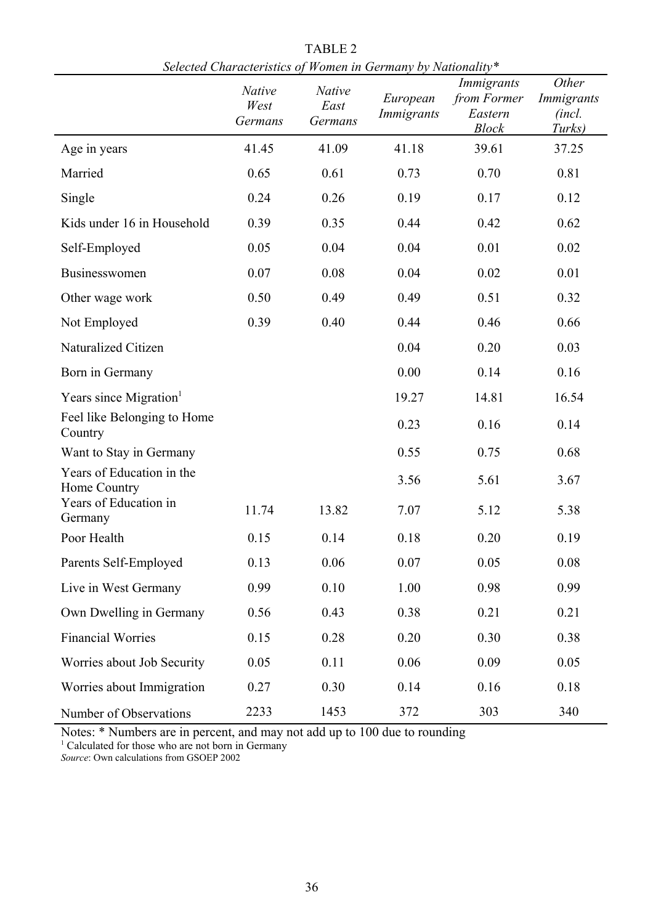|                                                                    | scieción characterístics of<br><b>Native</b><br>West<br>Germans | <b>Native</b><br>East<br>Germans | <i>romen in Sermany by Franchany</i><br>European<br>Immigrants | Immigrants<br>from Former<br>Eastern<br><b>Block</b> | Other<br>Immigrants<br>(incl.<br>Turks) |
|--------------------------------------------------------------------|-----------------------------------------------------------------|----------------------------------|----------------------------------------------------------------|------------------------------------------------------|-----------------------------------------|
| Age in years                                                       | 41.45                                                           | 41.09                            | 41.18                                                          | 39.61                                                | 37.25                                   |
| Married                                                            | 0.65                                                            | 0.61                             | 0.73                                                           | 0.70                                                 | 0.81                                    |
| Single                                                             | 0.24                                                            | 0.26                             | 0.19                                                           | 0.17                                                 | 0.12                                    |
| Kids under 16 in Household                                         | 0.39                                                            | 0.35                             | 0.44                                                           | 0.42                                                 | 0.62                                    |
| Self-Employed                                                      | 0.05                                                            | 0.04                             | 0.04                                                           | 0.01                                                 | 0.02                                    |
| Businesswomen                                                      | 0.07                                                            | 0.08                             | 0.04                                                           | 0.02                                                 | 0.01                                    |
| Other wage work                                                    | 0.50                                                            | 0.49                             | 0.49                                                           | 0.51                                                 | 0.32                                    |
| Not Employed                                                       | 0.39                                                            | 0.40                             | 0.44                                                           | 0.46                                                 | 0.66                                    |
| Naturalized Citizen                                                |                                                                 |                                  | 0.04                                                           | 0.20                                                 | 0.03                                    |
| Born in Germany                                                    |                                                                 |                                  | 0.00                                                           | 0.14                                                 | 0.16                                    |
| Years since Migration <sup>1</sup>                                 |                                                                 |                                  | 19.27                                                          | 14.81                                                | 16.54                                   |
| Feel like Belonging to Home<br>Country                             |                                                                 |                                  | 0.23                                                           | 0.16                                                 | 0.14                                    |
| Want to Stay in Germany                                            |                                                                 |                                  | 0.55                                                           | 0.75                                                 | 0.68                                    |
| Years of Education in the<br>Home Country<br>Years of Education in |                                                                 |                                  | 3.56                                                           | 5.61                                                 | 3.67                                    |
| Germany                                                            | 11.74                                                           | 13.82                            | 7.07                                                           | 5.12                                                 | 5.38                                    |
| Poor Health                                                        | 0.15                                                            | 0.14                             | 0.18                                                           | 0.20                                                 | 0.19                                    |
| Parents Self-Employed                                              | 0.13                                                            | 0.06                             | 0.07                                                           | 0.05                                                 | 0.08                                    |
| Live in West Germany                                               | 0.99                                                            | 0.10                             | 1.00                                                           | 0.98                                                 | 0.99                                    |
| Own Dwelling in Germany                                            | 0.56                                                            | 0.43                             | 0.38                                                           | 0.21                                                 | 0.21                                    |
| <b>Financial Worries</b>                                           | 0.15                                                            | 0.28                             | 0.20                                                           | 0.30                                                 | 0.38                                    |
| Worries about Job Security                                         | 0.05                                                            | 0.11                             | 0.06                                                           | 0.09                                                 | 0.05                                    |
| Worries about Immigration                                          | 0.27                                                            | 0.30                             | 0.14                                                           | 0.16                                                 | 0.18                                    |
| Number of Observations                                             | 2233                                                            | 1453                             | 372                                                            | 303                                                  | 340                                     |

TABLE 2 *Selected Characteristics of Women in Germany by Nationality\**

Notes: \* Numbers are in percent, and may not add up to 100 due to rounding <sup>1</sup> Calculated for those who are not born in Germany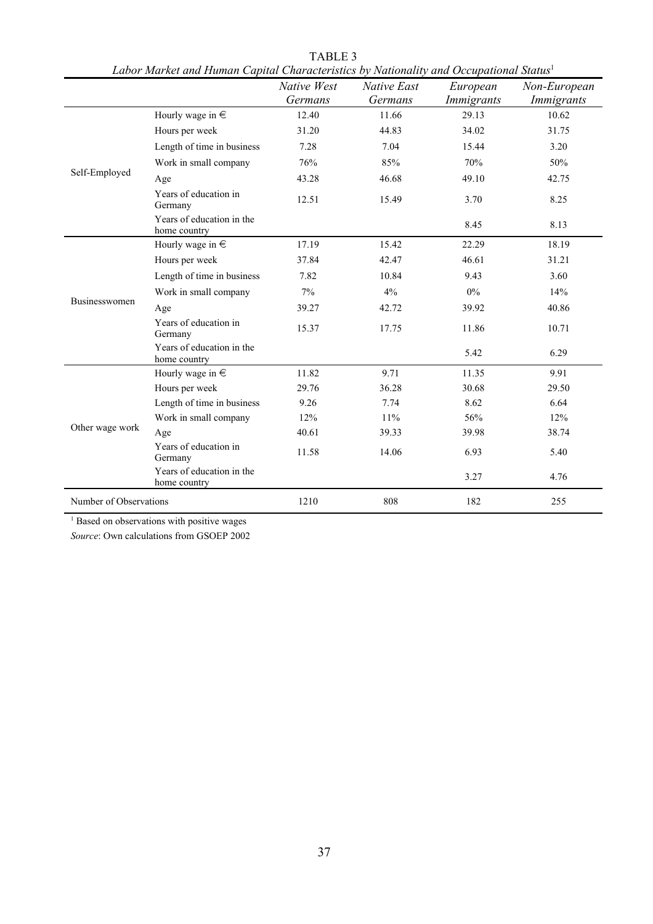|                        | Labor маrкеt апа гійтап Сариаі Characteristics by Nationality апа Оссиранопаі Siatus | Native West | Native East | European   | Non-European      |
|------------------------|--------------------------------------------------------------------------------------|-------------|-------------|------------|-------------------|
|                        |                                                                                      | Germans     | Germans     | Immigrants | <i>Immigrants</i> |
|                        | Hourly wage in $\in$                                                                 | 12.40       | 11.66       | 29.13      | 10.62             |
|                        | Hours per week                                                                       | 31.20       | 44.83       | 34.02      | 31.75             |
|                        | Length of time in business                                                           | 7.28        | 7.04        | 15.44      | 3.20              |
|                        | Work in small company                                                                | 76%         | 85%         | 70%        | 50%               |
| Self-Employed          | Age                                                                                  | 43.28       | 46.68       | 49.10      | 42.75             |
|                        | Years of education in<br>Germany                                                     | 12.51       | 15.49       | 3.70       | 8.25              |
|                        | Years of education in the<br>home country                                            |             |             | 8.45       | 8.13              |
|                        | Hourly wage in $\in$                                                                 | 17.19       | 15.42       | 22.29      | 18.19             |
|                        | Hours per week                                                                       | 37.84       | 42.47       | 46.61      | 31.21             |
|                        | Length of time in business                                                           | 7.82        | 10.84       | 9.43       | 3.60              |
|                        | Work in small company                                                                | 7%          | 4%          | $0\%$      | 14%               |
| Businesswomen          | Age                                                                                  | 39.27       | 42.72       | 39.92      | 40.86             |
|                        | Years of education in<br>Germany                                                     | 15.37       | 17.75       | 11.86      | 10.71             |
|                        | Years of education in the<br>home country                                            |             |             | 5.42       | 6.29              |
|                        | Hourly wage in $\in$                                                                 | 11.82       | 9.71        | 11.35      | 9.91              |
|                        | Hours per week                                                                       | 29.76       | 36.28       | 30.68      | 29.50             |
|                        | Length of time in business                                                           | 9.26        | 7.74        | 8.62       | 6.64              |
|                        | Work in small company                                                                | 12%         | 11%         | 56%        | 12%               |
| Other wage work        | Age                                                                                  | 40.61       | 39.33       | 39.98      | 38.74             |
|                        | Years of education in<br>Germany                                                     | 11.58       | 14.06       | 6.93       | 5.40              |
|                        | Years of education in the<br>home country                                            |             |             | 3.27       | 4.76              |
| Number of Observations |                                                                                      | 1210        | 808         | 182        | 255               |

TABLE 3 *Labor Market and Human Capital Characteristics by Nationality and Occupational Status*<sup>1</sup>

<sup>1</sup> Based on observations with positive wages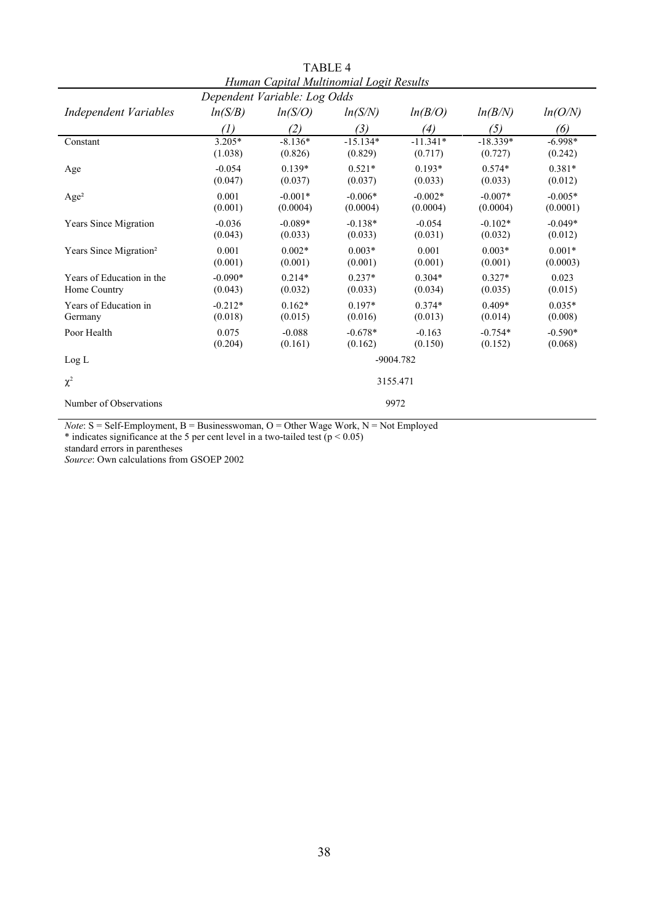| ттинан Сариантининоннан шоди кезини<br>Dependent Variable: Log Odds |                   |           |            |            |            |           |  |
|---------------------------------------------------------------------|-------------------|-----------|------------|------------|------------|-----------|--|
| <b>Independent Variables</b>                                        | ln(S/B)           | ln(S/O)   | ln(S/N)    | ln(B/O)    | ln(B/N)    | ln(O/N)   |  |
|                                                                     | $\left( l\right)$ | (2)       | (3)        | (4)        | (5)        | (6)       |  |
| Constant                                                            | $3.205*$          | $-8.136*$ | $-15.134*$ | $-11.341*$ | $-18.339*$ | $-6.998*$ |  |
|                                                                     | (1.038)           | (0.826)   | (0.829)    | (0.717)    | (0.727)    | (0.242)   |  |
| Age                                                                 | $-0.054$          | $0.139*$  | $0.521*$   | $0.193*$   | $0.574*$   | $0.381*$  |  |
|                                                                     | (0.047)           | (0.037)   | (0.037)    | (0.033)    | (0.033)    | (0.012)   |  |
| Age <sup>2</sup>                                                    | 0.001             | $-0.001*$ | $-0.006*$  | $-0.002*$  | $-0.007*$  | $-0.005*$ |  |
|                                                                     | (0.001)           | (0.0004)  | (0.0004)   | (0.0004)   | (0.0004)   | (0.0001)  |  |
| Years Since Migration                                               | $-0.036$          | $-0.089*$ | $-0.138*$  | $-0.054$   | $-0.102*$  | $-0.049*$ |  |
|                                                                     | (0.043)           | (0.033)   | (0.033)    | (0.031)    | (0.032)    | (0.012)   |  |
| Years Since Migration <sup>2</sup>                                  | 0.001             | $0.002*$  | $0.003*$   | 0.001      | $0.003*$   | $0.001*$  |  |
|                                                                     | (0.001)           | (0.001)   | (0.001)    | (0.001)    | (0.001)    | (0.0003)  |  |
| Years of Education in the                                           | $-0.090*$         | $0.214*$  | $0.237*$   | $0.304*$   | $0.327*$   | 0.023     |  |
| Home Country                                                        | (0.043)           | (0.032)   | (0.033)    | (0.034)    | (0.035)    | (0.015)   |  |
| Years of Education in                                               | $-0.212*$         | $0.162*$  | $0.197*$   | $0.374*$   | $0.409*$   | $0.035*$  |  |
| Germany                                                             | (0.018)           | (0.015)   | (0.016)    | (0.013)    | (0.014)    | (0.008)   |  |
| Poor Health                                                         | 0.075             | $-0.088$  | $-0.678*$  | $-0.163$   | $-0.754*$  | $-0.590*$ |  |
|                                                                     | (0.204)           | (0.161)   | (0.162)    | (0.150)    | (0.152)    | (0.068)   |  |
| Log L                                                               | $-9004.782$       |           |            |            |            |           |  |
| $\chi^2$                                                            | 3155.471          |           |            |            |            |           |  |
| Number of Observations                                              |                   |           |            | 9972       |            |           |  |

TABLE 4 *Human Capital Multinomial Logit Results*

*Note*:  $S = Self-Employment$ ,  $B = Businesswoman$ ,  $O = Other wage Work$ ,  $N = Not Employed$ 

\* indicates significance at the 5 per cent level in a two-tailed test ( $p < 0.05$ )

standard errors in parentheses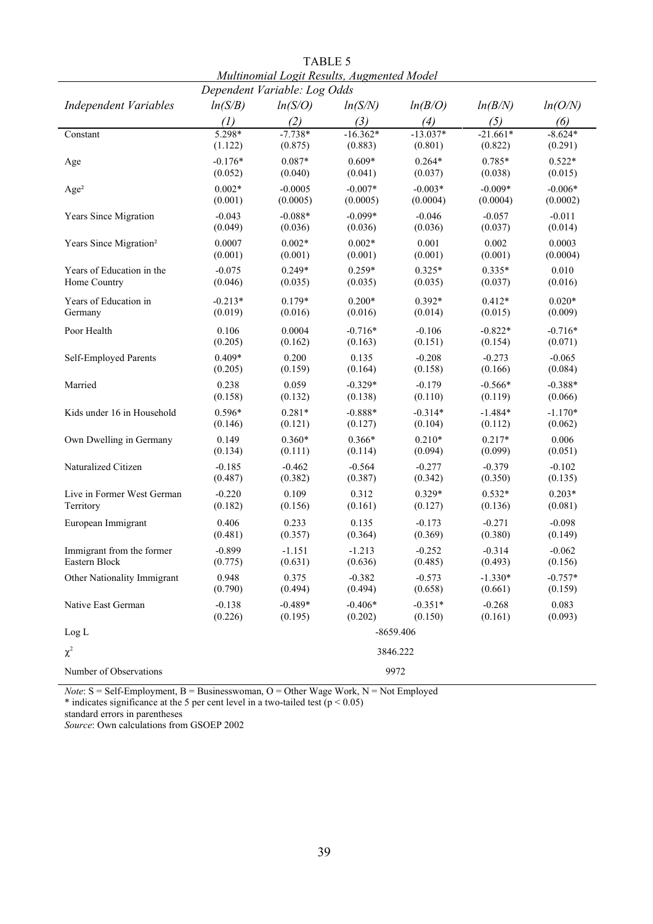| Multinomial Logit Results, Augmented Model<br>Dependent Variable: Log Odds |                   |           |            |             |            |           |  |
|----------------------------------------------------------------------------|-------------------|-----------|------------|-------------|------------|-----------|--|
| <b>Independent Variables</b>                                               | ln(S/B)           | ln(S/O)   | ln(S/N)    | ln(B/O)     | ln(B/N)    | ln(O/N)   |  |
|                                                                            | $\left( l\right)$ | (2)       | (3)        | (4)         | (5)        | (6)       |  |
| Constant                                                                   | 5.298*            | $-7.738*$ | $-16.362*$ | $-13.037*$  | $-21.661*$ | $-8.624*$ |  |
|                                                                            | (1.122)           | (0.875)   | (0.883)    | (0.801)     | (0.822)    | (0.291)   |  |
| Age                                                                        | $-0.176*$         | 0.087*    | $0.609*$   | $0.264*$    | 0.785*     | $0.522*$  |  |
|                                                                            | (0.052)           | (0.040)   | (0.041)    | (0.037)     | (0.038)    | (0.015)   |  |
| Age <sup>2</sup>                                                           | $0.002*$          | $-0.0005$ | $-0.007*$  | $-0.003*$   | $-0.009*$  | $-0.006*$ |  |
|                                                                            | (0.001)           | (0.0005)  | (0.0005)   | (0.0004)    | (0.0004)   | (0.0002)  |  |
| Years Since Migration                                                      | $-0.043$          | $-0.088*$ | $-0.099*$  | $-0.046$    | $-0.057$   | $-0.011$  |  |
|                                                                            | (0.049)           | (0.036)   | (0.036)    | (0.036)     | (0.037)    | (0.014)   |  |
| Years Since Migration <sup>2</sup>                                         | 0.0007            | $0.002*$  | $0.002*$   | 0.001       | 0.002      | 0.0003    |  |
|                                                                            | (0.001)           | (0.001)   | (0.001)    | (0.001)     | (0.001)    | (0.0004)  |  |
| Years of Education in the                                                  | $-0.075$          | $0.249*$  | $0.259*$   | $0.325*$    | $0.335*$   | 0.010     |  |
| Home Country                                                               | (0.046)           | (0.035)   | (0.035)    | (0.035)     | (0.037)    | (0.016)   |  |
| Years of Education in                                                      | $-0.213*$         | $0.179*$  | $0.200*$   | $0.392*$    | $0.412*$   | $0.020*$  |  |
| Germany                                                                    | (0.019)           | (0.016)   | (0.016)    | (0.014)     | (0.015)    | (0.009)   |  |
| Poor Health                                                                | 0.106             | 0.0004    | $-0.716*$  | $-0.106$    | $-0.822*$  | $-0.716*$ |  |
|                                                                            | (0.205)           | (0.162)   | (0.163)    | (0.151)     | (0.154)    | (0.071)   |  |
| Self-Employed Parents                                                      | $0.409*$          | 0.200     | 0.135      | $-0.208$    | $-0.273$   | $-0.065$  |  |
|                                                                            | (0.205)           | (0.159)   | (0.164)    | (0.158)     | (0.166)    | (0.084)   |  |
| Married                                                                    | 0.238             | 0.059     | $-0.329*$  | $-0.179$    | $-0.566*$  | $-0.388*$ |  |
|                                                                            | (0.158)           | (0.132)   | (0.138)    | (0.110)     | (0.119)    | (0.066)   |  |
| Kids under 16 in Household                                                 | $0.596*$          | $0.281*$  | $-0.888*$  | $-0.314*$   | $-1.484*$  | $-1.170*$ |  |
|                                                                            | (0.146)           | (0.121)   | (0.127)    | (0.104)     | (0.112)    | (0.062)   |  |
| Own Dwelling in Germany                                                    | 0.149             | $0.360*$  | $0.366*$   | $0.210*$    | $0.217*$   | 0.006     |  |
|                                                                            | (0.134)           | (0.111)   | (0.114)    | (0.094)     | (0.099)    | (0.051)   |  |
| Naturalized Citizen                                                        | $-0.185$          | $-0.462$  | $-0.564$   | $-0.277$    | $-0.379$   | $-0.102$  |  |
|                                                                            | (0.487)           | (0.382)   | (0.387)    | (0.342)     | (0.350)    | (0.135)   |  |
| Live in Former West German                                                 | $-0.220$          | 0.109     | 0.312      | $0.329*$    | $0.532*$   | $0.203*$  |  |
| Territory                                                                  | (0.182)           | (0.156)   | (0.161)    | (0.127)     | (0.136)    | (0.081)   |  |
| European Immigrant                                                         | 0.406             | 0.233     | 0.135      | $-0.173$    | $-0.271$   | $-0.098$  |  |
|                                                                            | (0.481)           | (0.357)   | (0.364)    | (0.369)     | (0.380)    | (0.149)   |  |
| Immigrant from the former                                                  | $-0.899$          | $-1.151$  | $-1.213$   | $-0.252$    | $-0.314$   | $-0.062$  |  |
| Eastern Block                                                              | (0.775)           | (0.631)   | (0.636)    | (0.485)     | (0.493)    | (0.156)   |  |
| Other Nationality Immigrant                                                | 0.948             | 0.375     | $-0.382$   | $-0.573$    | $-1.330*$  | $-0.757*$ |  |
|                                                                            | (0.790)           | (0.494)   | (0.494)    | (0.658)     | (0.661)    | (0.159)   |  |
| Native East German                                                         | $-0.138$          | $-0.489*$ | $-0.406*$  | $-0.351*$   | $-0.268$   | 0.083     |  |
|                                                                            | (0.226)           | (0.195)   | (0.202)    | (0.150)     | (0.161)    | (0.093)   |  |
| Log L                                                                      |                   |           |            | $-8659.406$ |            |           |  |
| $\chi^2$                                                                   | 3846.222          |           |            |             |            |           |  |
| Number of Observations                                                     | 9972              |           |            |             |            |           |  |

TABLE 5 *Multinomial Logit Results, Augmented Model*

*Note*:  $S = Self-Employment$ ,  $B = Businesswoman$ ,  $O = Other wage Work$ ,  $N = Not Employed$ 

\* indicates significance at the 5 per cent level in a two-tailed test ( $p < 0.05$ )

standard errors in parentheses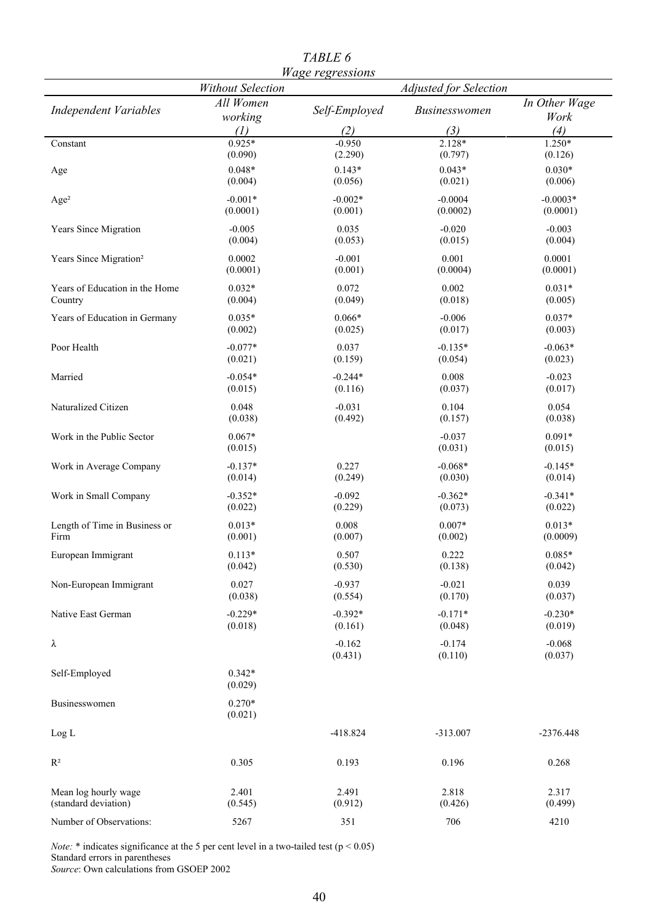|                                    | <b>Without Selection</b> | <i>mage regressions</i> | <b>Adjusted for Selection</b> |                       |
|------------------------------------|--------------------------|-------------------------|-------------------------------|-----------------------|
| <b>Independent Variables</b>       | All Women<br>working     | Self-Employed           | Businesswomen                 | In Other Wage<br>Work |
|                                    | (1)                      | (2)                     | (3)                           | (4)                   |
| Constant                           | $0.925*$                 | $-0.950$                | $2.128*$                      | $1.250*$              |
|                                    | (0.090)                  | (2.290)                 | (0.797)                       | (0.126)               |
| Age                                | $0.048*$<br>(0.004)      | $0.143*$<br>(0.056)     | $0.043*$<br>(0.021)           | $0.030*$<br>(0.006)   |
| Age <sup>2</sup>                   | $-0.001*$                | $-0.002*$               | $-0.0004$                     | $-0.0003*$            |
|                                    | (0.0001)                 | (0.001)                 | (0.0002)                      | (0.0001)              |
| Years Since Migration              | $-0.005$<br>(0.004)      | 0.035<br>(0.053)        | $-0.020$<br>(0.015)           | $-0.003$<br>(0.004)   |
| Years Since Migration <sup>2</sup> | 0.0002                   | $-0.001$                | 0.001                         | 0.0001                |
|                                    | (0.0001)                 | (0.001)                 | (0.0004)                      | (0.0001)              |
| Years of Education in the Home     | $0.032*$                 | 0.072                   | 0.002                         | $0.031*$              |
| Country                            | (0.004)                  | (0.049)                 | (0.018)                       | (0.005)               |
| Years of Education in Germany      | $0.035*$                 | $0.066*$                | $-0.006$                      | $0.037*$              |
|                                    | (0.002)                  | (0.025)                 | (0.017)                       | (0.003)               |
| Poor Health                        | $-0.077*$                | 0.037                   | $-0.135*$                     | $-0.063*$             |
|                                    | (0.021)                  | (0.159)                 | (0.054)                       | (0.023)               |
| Married                            | $-0.054*$                | $-0.244*$               | 0.008                         | $-0.023$              |
|                                    | (0.015)                  | (0.116)                 | (0.037)                       | (0.017)               |
| Naturalized Citizen                | 0.048                    | $-0.031$                | 0.104                         | 0.054                 |
|                                    | (0.038)                  | (0.492)                 | (0.157)                       | (0.038)               |
| Work in the Public Sector          | $0.067*$                 |                         | $-0.037$                      | $0.091*$              |
|                                    | (0.015)                  |                         | (0.031)                       | (0.015)               |
| Work in Average Company            | $-0.137*$                | 0.227                   | $-0.068*$                     | $-0.145*$             |
|                                    | (0.014)                  | (0.249)                 | (0.030)                       | (0.014)               |
| Work in Small Company              | $-0.352*$                | $-0.092$                | $-0.362*$                     | $-0.341*$             |
|                                    | (0.022)                  | (0.229)                 | (0.073)                       | (0.022)               |
| Length of Time in Business or      | $0.013*$                 | 0.008                   | $0.007*$                      | $0.013*$              |
| Firm                               | (0.001)                  | (0.007)                 | (0.002)                       | (0.0009)              |
| European Immigrant                 | $0.113*$                 | 0.507                   | 0.222                         | $0.085*$              |
|                                    | (0.042)                  | (0.530)                 | (0.138)                       | (0.042)               |
| Non-European Immigrant             | 0.027                    | $-0.937$                | $-0.021$                      | 0.039                 |
|                                    | (0.038)                  | (0.554)                 | (0.170)                       | (0.037)               |
|                                    | $-0.229*$                | $-0.392*$               | $-0.171*$                     | $-0.230*$             |
| Native East German                 | (0.018)                  | (0.161)                 | (0.048)                       | (0.019)               |
|                                    |                          |                         |                               |                       |
| λ                                  |                          | $-0.162$<br>(0.431)     | $-0.174$<br>(0.110)           | $-0.068$<br>(0.037)   |
|                                    |                          |                         |                               |                       |
| Self-Employed                      | $0.342*$<br>(0.029)      |                         |                               |                       |
|                                    |                          |                         |                               |                       |
| Businesswomen                      | $0.270*$                 |                         |                               |                       |
|                                    | (0.021)                  |                         |                               |                       |
| Log L                              |                          | $-418.824$              | $-313.007$                    | $-2376.448$           |
| $\mathbf{R}^2$                     | 0.305                    | 0.193                   | 0.196                         | 0.268                 |
|                                    |                          |                         |                               |                       |
| Mean log hourly wage               | 2.401                    | 2.491                   | 2.818                         | 2.317                 |
| (standard deviation)               | (0.545)                  | (0.912)                 | (0.426)                       | (0.499)               |
| Number of Observations:            | 5267                     | 351                     | 706                           | 4210                  |

*TABLE 6 Wage regressions*

*Note:*  $*$  indicates significance at the 5 per cent level in a two-tailed test ( $p < 0.05$ ) Standard errors in parentheses *Source*: Own calculations from GSOEP 2002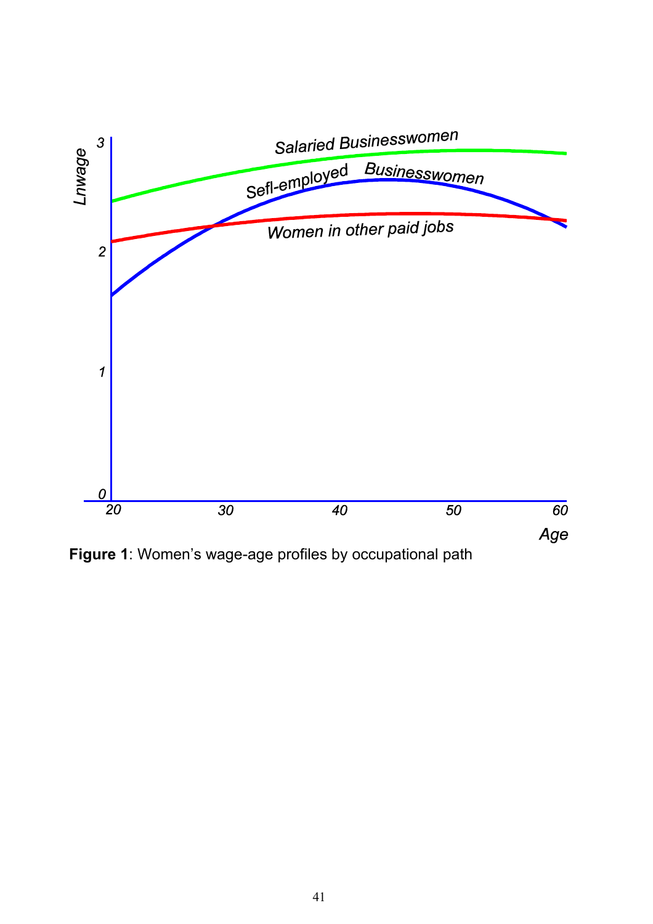

**Figure 1**: Women's wage-age profiles by occupational path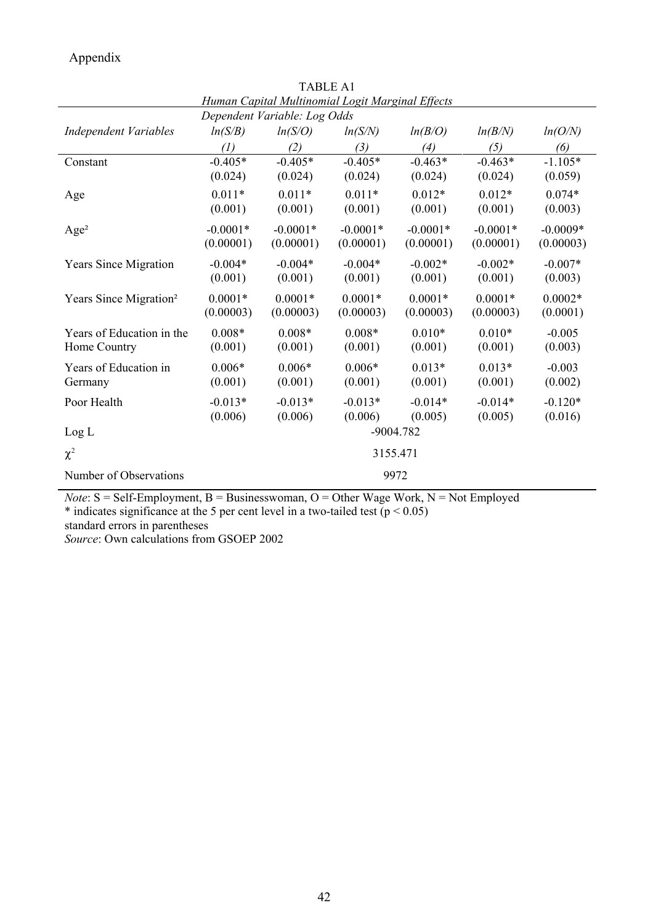Appendix

|                                    |                   |            | Human Capital Multinomial Logit Marginal Effects |            |            |            |  |  |
|------------------------------------|-------------------|------------|--------------------------------------------------|------------|------------|------------|--|--|
| Dependent Variable: Log Odds       |                   |            |                                                  |            |            |            |  |  |
| <b>Independent Variables</b>       | ln(S/B)           | ln(S/O)    | ln(S/N)                                          | ln(B/O)    | ln(B/N)    | ln(O/N)    |  |  |
|                                    | $\left( I\right)$ | (2)        | (3)                                              | (4)        | (5)        | (6)        |  |  |
| Constant                           | $-0.405*$         | $-0.405*$  | $-0.405*$                                        | $-0.463*$  | $-0.463*$  | $-1.105*$  |  |  |
|                                    | (0.024)           | (0.024)    | (0.024)                                          | (0.024)    | (0.024)    | (0.059)    |  |  |
| Age                                | $0.011*$          | $0.011*$   | $0.011*$                                         | $0.012*$   | $0.012*$   | $0.074*$   |  |  |
|                                    | (0.001)           | (0.001)    | (0.001)                                          | (0.001)    | (0.001)    | (0.003)    |  |  |
| Age <sup>2</sup>                   | $-0.0001*$        | $-0.0001*$ | $-0.0001*$                                       | $-0.0001*$ | $-0.0001*$ | $-0.0009*$ |  |  |
|                                    | (0.00001)         | (0.00001)  | (0.00001)                                        | (0.00001)  | (0.00001)  | (0.00003)  |  |  |
| <b>Years Since Migration</b>       | $-0.004*$         | $-0.004*$  | $-0.004*$                                        | $-0.002*$  | $-0.002*$  | $-0.007*$  |  |  |
|                                    | (0.001)           | (0.001)    | (0.001)                                          | (0.001)    | (0.001)    | (0.003)    |  |  |
| Years Since Migration <sup>2</sup> | $0.0001*$         | $0.0001*$  | $0.0001*$                                        | $0.0001*$  | $0.0001*$  | $0.0002*$  |  |  |
|                                    | (0.00003)         | (0.00003)  | (0.00003)                                        | (0.00003)  | (0.00003)  | (0.0001)   |  |  |
| Years of Education in the          | $0.008*$          | $0.008*$   | $0.008*$                                         | $0.010*$   | $0.010*$   | $-0.005$   |  |  |
| Home Country                       | (0.001)           | (0.001)    | (0.001)                                          | (0.001)    | (0.001)    | (0.003)    |  |  |
| Years of Education in              | $0.006*$          | $0.006*$   | $0.006*$                                         | $0.013*$   | $0.013*$   | $-0.003$   |  |  |
| Germany                            | (0.001)           | (0.001)    | (0.001)                                          | (0.001)    | (0.001)    | (0.002)    |  |  |
| Poor Health                        | $-0.013*$         | $-0.013*$  | $-0.013*$                                        | $-0.014*$  | $-0.014*$  | $-0.120*$  |  |  |
|                                    | (0.006)           | (0.006)    | (0.006)                                          | (0.005)    | (0.005)    | (0.016)    |  |  |
| Log L                              | $-9004.782$       |            |                                                  |            |            |            |  |  |
| $\chi^2$                           | 3155.471          |            |                                                  |            |            |            |  |  |
| Number of Observations             | 9972              |            |                                                  |            |            |            |  |  |

TABLE A1

*Note*: S = Self-Employment, B = Businesswoman, O = Other Wage Work, N = Not Employed

\* indicates significance at the 5 per cent level in a two-tailed test ( $p < 0.05$ )

standard errors in parentheses